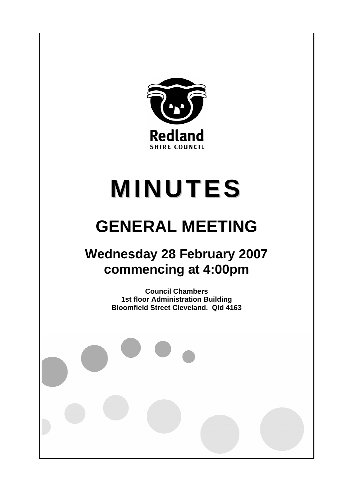

# **MINUTES**

# **GENERAL MEETING**

## **Wednesday 28 February 2007 commencing at 4:00pm**

**Council Chambers 1st floor Administration Building Bloomfield Street Cleveland. Qld 4163**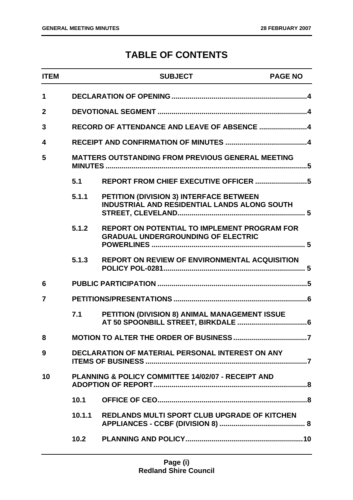### **TABLE OF CONTENTS**

| <b>ITEM</b>    |                                                          | <b>SUBJECT</b>                                                                                   | <b>PAGE NO</b> |
|----------------|----------------------------------------------------------|--------------------------------------------------------------------------------------------------|----------------|
| 1              |                                                          |                                                                                                  |                |
| $\overline{2}$ |                                                          |                                                                                                  |                |
| 3              |                                                          |                                                                                                  |                |
| 4              |                                                          |                                                                                                  |                |
| 5              | <b>MATTERS OUTSTANDING FROM PREVIOUS GENERAL MEETING</b> |                                                                                                  |                |
|                | 5.1                                                      |                                                                                                  |                |
|                | 5.1.1                                                    | PETITION (DIVISION 3) INTERFACE BETWEEN<br><b>INDUSTRIAL AND RESIDENTIAL LANDS ALONG SOUTH</b>   |                |
|                | 5.1.2                                                    | <b>REPORT ON POTENTIAL TO IMPLEMENT PROGRAM FOR</b><br><b>GRADUAL UNDERGROUNDING OF ELECTRIC</b> |                |
|                | 5.1.3                                                    | <b>REPORT ON REVIEW OF ENVIRONMENTAL ACQUISITION</b>                                             |                |
| 6              |                                                          |                                                                                                  |                |
| 7              |                                                          |                                                                                                  |                |
|                | 7.1                                                      | PETITION (DIVISION 8) ANIMAL MANAGEMENT ISSUE                                                    |                |
| 8              |                                                          |                                                                                                  |                |
| 9              |                                                          | DECLARATION OF MATERIAL PERSONAL INTEREST ON ANY                                                 |                |
| 10             |                                                          | PLANNING & POLICY COMMITTEE 14/02/07 - RECEIPT AND                                               |                |
|                | 10.1                                                     |                                                                                                  |                |
|                | 10.1.1                                                   | <b>REDLANDS MULTI SPORT CLUB UPGRADE OF KITCHEN</b>                                              |                |
|                | 10.2                                                     |                                                                                                  |                |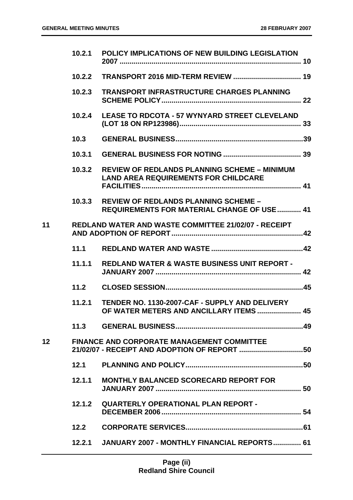|                 | 10.2.1 | POLICY IMPLICATIONS OF NEW BUILDING LEGISLATION                                                    |  |
|-----------------|--------|----------------------------------------------------------------------------------------------------|--|
|                 |        |                                                                                                    |  |
|                 | 10.2.3 | <b>TRANSPORT INFRASTRUCTURE CHARGES PLANNING</b>                                                   |  |
|                 | 10.2.4 | <b>LEASE TO RDCOTA - 57 WYNYARD STREET CLEVELAND</b>                                               |  |
|                 | 10.3   |                                                                                                    |  |
|                 | 10.3.1 |                                                                                                    |  |
|                 | 10.3.2 | <b>REVIEW OF REDLANDS PLANNING SCHEME - MINIMUM</b><br><b>LAND AREA REQUIREMENTS FOR CHILDCARE</b> |  |
|                 | 10.3.3 | <b>REVIEW OF REDLANDS PLANNING SCHEME -</b><br><b>REQUIREMENTS FOR MATERIAL CHANGE OF USE  41</b>  |  |
| 11              |        | REDLAND WATER AND WASTE COMMITTEE 21/02/07 - RECEIPT                                               |  |
|                 | 11.1   |                                                                                                    |  |
|                 | 11.1.1 | <b>REDLAND WATER &amp; WASTE BUSINESS UNIT REPORT -</b>                                            |  |
|                 | 11.2   |                                                                                                    |  |
|                 | 11.2.1 | TENDER NO. 1130-2007-CAF - SUPPLY AND DELIVERY<br>OF WATER METERS AND ANCILLARY ITEMS  45          |  |
|                 |        |                                                                                                    |  |
| 12 <sup>2</sup> |        | <b>FINANCE AND CORPORATE MANAGEMENT COMMITTEE</b><br>21/02/07 - RECEIPT AND ADOPTION OF REPORT 50  |  |
|                 | 12.1   |                                                                                                    |  |
|                 | 12.1.1 | <b>MONTHLY BALANCED SCORECARD REPORT FOR</b>                                                       |  |
|                 |        | 12.1.2 QUARTERLY OPERATIONAL PLAN REPORT -                                                         |  |
|                 | 12.2   |                                                                                                    |  |
|                 |        | 12.2.1 JANUARY 2007 - MONTHLY FINANCIAL REPORTS 61                                                 |  |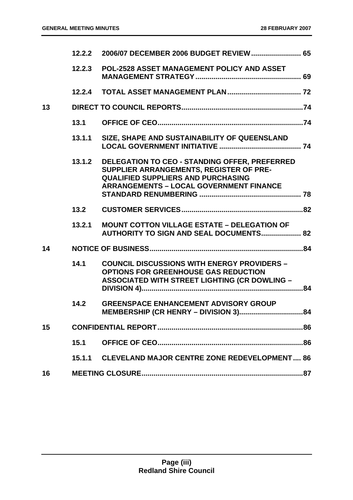|    | 12.2.2 |                                                                                                                                                                                                |    |
|----|--------|------------------------------------------------------------------------------------------------------------------------------------------------------------------------------------------------|----|
|    | 12.2.3 | POL-2528 ASSET MANAGEMENT POLICY AND ASSET                                                                                                                                                     |    |
|    | 12.2.4 |                                                                                                                                                                                                |    |
| 13 |        |                                                                                                                                                                                                |    |
|    | 13.1   |                                                                                                                                                                                                |    |
|    | 13.1.1 | SIZE, SHAPE AND SUSTAINABILITY OF QUEENSLAND                                                                                                                                                   |    |
|    | 13.1.2 | <b>DELEGATION TO CEO - STANDING OFFER, PREFERRED</b><br>SUPPLIER ARRANGEMENTS, REGISTER OF PRE-<br><b>QUALIFIED SUPPLIERS AND PURCHASING</b><br><b>ARRANGEMENTS - LOCAL GOVERNMENT FINANCE</b> |    |
|    | 13.2   |                                                                                                                                                                                                |    |
|    | 13.2.1 | <b>MOUNT COTTON VILLAGE ESTATE - DELEGATION OF</b><br><b>AUTHORITY TO SIGN AND SEAL DOCUMENTS 82</b>                                                                                           |    |
| 14 |        |                                                                                                                                                                                                |    |
|    | 14.1   | <b>COUNCIL DISCUSSIONS WITH ENERGY PROVIDERS -</b><br><b>OPTIONS FOR GREENHOUSE GAS REDUCTION</b><br><b>ASSOCIATED WITH STREET LIGHTING (CR DOWLING -</b>                                      |    |
|    | 14.2   | <b>GREENSPACE ENHANCEMENT ADVISORY GROUP</b><br>MEMBERSHIP (CR HENRY - DIVISION 3)                                                                                                             | 84 |
| 15 |        |                                                                                                                                                                                                |    |
|    | 15.1   |                                                                                                                                                                                                |    |
|    |        | 15.1.1 CLEVELAND MAJOR CENTRE ZONE REDEVELOPMENT 86                                                                                                                                            |    |
| 16 |        |                                                                                                                                                                                                |    |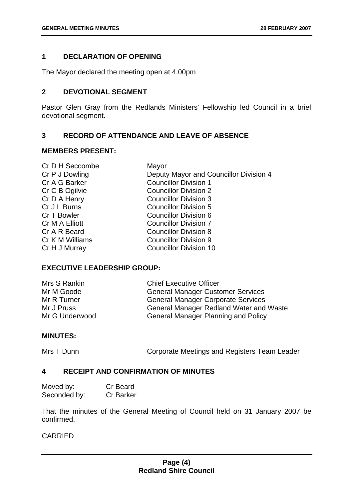#### **1 DECLARATION OF OPENING**

The Mayor declared the meeting open at 4.00pm

#### **2 DEVOTIONAL SEGMENT**

Pastor Glen Gray from the Redlands Ministers' Fellowship led Council in a brief devotional segment.

#### **3 RECORD OF ATTENDANCE AND LEAVE OF ABSENCE**

#### **MEMBERS PRESENT:**

| Cr D H Seccombe | Mayor                                  |
|-----------------|----------------------------------------|
| Cr P J Dowling  | Deputy Mayor and Councillor Division 4 |
| Cr A G Barker   | <b>Councillor Division 1</b>           |
| Cr C B Ogilvie  | <b>Councillor Division 2</b>           |
| Cr D A Henry    | <b>Councillor Division 3</b>           |
| Cr J L Burns    | <b>Councillor Division 5</b>           |
| Cr T Bowler     | Councillor Division 6                  |
| Cr M A Elliott  | <b>Councillor Division 7</b>           |
| Cr A R Beard    | <b>Councillor Division 8</b>           |
| Cr K M Williams | <b>Councillor Division 9</b>           |
| Cr H J Murray   | <b>Councillor Division 10</b>          |
|                 |                                        |

#### **EXECUTIVE LEADERSHIP GROUP:**

| Mrs S Rankin   | <b>Chief Executive Officer</b>                 |
|----------------|------------------------------------------------|
| Mr M Goode     | <b>General Manager Customer Services</b>       |
| Mr R Turner    | <b>General Manager Corporate Services</b>      |
| Mr J Pruss     | <b>General Manager Redland Water and Waste</b> |
| Mr G Underwood | <b>General Manager Planning and Policy</b>     |

#### **MINUTES:**

Mrs T Dunn **Corporate Meetings and Registers Team Leader** 

#### **4 RECEIPT AND CONFIRMATION OF MINUTES**

| Moved by:    | Cr Beard         |
|--------------|------------------|
| Seconded by: | <b>Cr Barker</b> |

That the minutes of the General Meeting of Council held on 31 January 2007 be confirmed.

#### CARRIED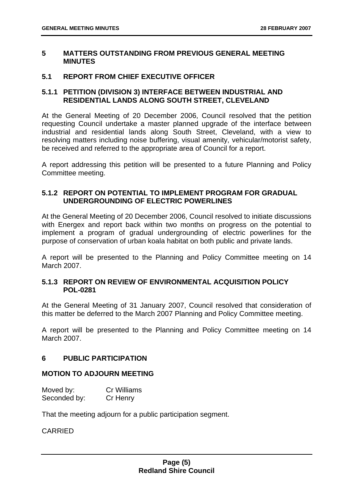#### **5 MATTERS OUTSTANDING FROM PREVIOUS GENERAL MEETING MINUTES**

#### **5.1 REPORT FROM CHIEF EXECUTIVE OFFICER**

#### **5.1.1 PETITION (DIVISION 3) INTERFACE BETWEEN INDUSTRIAL AND RESIDENTIAL LANDS ALONG SOUTH STREET, CLEVELAND**

At the General Meeting of 20 December 2006, Council resolved that the petition requesting Council undertake a master planned upgrade of the interface between industrial and residential lands along South Street, Cleveland, with a view to resolving matters including noise buffering, visual amenity, vehicular/motorist safety, be received and referred to the appropriate area of Council for a report.

A report addressing this petition will be presented to a future Planning and Policy Committee meeting.

#### **5.1.2 REPORT ON POTENTIAL TO IMPLEMENT PROGRAM FOR GRADUAL UNDERGROUNDING OF ELECTRIC POWERLINES**

At the General Meeting of 20 December 2006, Council resolved to initiate discussions with Energex and report back within two months on progress on the potential to implement a program of gradual undergrounding of electric powerlines for the purpose of conservation of urban koala habitat on both public and private lands.

A report will be presented to the Planning and Policy Committee meeting on 14 March 2007.

#### **5.1.3 REPORT ON REVIEW OF ENVIRONMENTAL ACQUISITION POLICY POL-0281**

At the General Meeting of 31 January 2007, Council resolved that consideration of this matter be deferred to the March 2007 Planning and Policy Committee meeting.

A report will be presented to the Planning and Policy Committee meeting on 14 March 2007.

#### **6 PUBLIC PARTICIPATION**

#### **MOTION TO ADJOURN MEETING**

| Moved by:    | <b>Cr Williams</b> |
|--------------|--------------------|
| Seconded by: | Cr Henry           |

That the meeting adjourn for a public participation segment.

#### CARRIED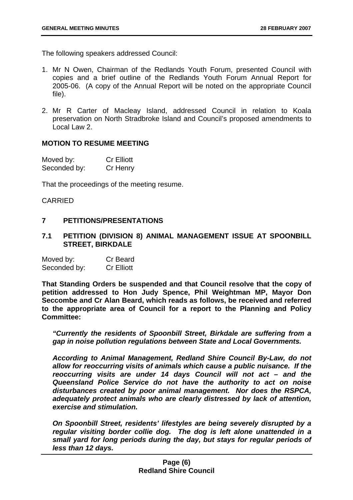The following speakers addressed Council:

- 1. Mr N Owen, Chairman of the Redlands Youth Forum, presented Council with copies and a brief outline of the Redlands Youth Forum Annual Report for 2005-06. (A copy of the Annual Report will be noted on the appropriate Council file).
- 2. Mr R Carter of Macleay Island, addressed Council in relation to Koala preservation on North Stradbroke Island and Council's proposed amendments to Local Law 2.

#### **MOTION TO RESUME MEETING**

| Moved by:    | <b>Cr Elliott</b> |
|--------------|-------------------|
| Seconded by: | Cr Henry          |

That the proceedings of the meeting resume.

#### CARRIED

#### **7 PETITIONS/PRESENTATIONS**

**7.1 PETITION (DIVISION 8) ANIMAL MANAGEMENT ISSUE AT SPOONBILL STREET, BIRKDALE** 

| Moved by:    | Cr Beard          |
|--------------|-------------------|
| Seconded by: | <b>Cr Elliott</b> |

**That Standing Orders be suspended and that Council resolve that the copy of petition addressed to Hon Judy Spence, Phil Weightman MP, Mayor Don Seccombe and Cr Alan Beard, which reads as follows, be received and referred to the appropriate area of Council for a report to the Planning and Policy Committee:** 

*"Currently the residents of Spoonbill Street, Birkdale are suffering from a gap in noise pollution regulations between State and Local Governments.* 

*According to Animal Management, Redland Shire Council By-Law, do not allow for reoccurring visits of animals which cause a public nuisance. If the reoccurring visits are under 14 days Council will not act – and the Queensland Police Service do not have the authority to act on noise disturbances created by poor animal management. Nor does the RSPCA, adequately protect animals who are clearly distressed by lack of attention, exercise and stimulation.* 

*On Spoonbill Street, residents' lifestyles are being severely disrupted by a regular visiting border collie dog. The dog is left alone unattended in a small yard for long periods during the day, but stays for regular periods of less than 12 days.*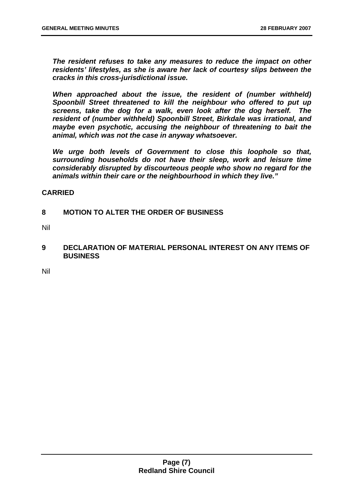*The resident refuses to take any measures to reduce the impact on other residents' lifestyles, as she is aware her lack of courtesy slips between the cracks in this cross-jurisdictional issue.* 

*When approached about the issue, the resident of (number withheld) Spoonbill Street threatened to kill the neighbour who offered to put up screens, take the dog for a walk, even look after the dog herself. The resident of (number withheld) Spoonbill Street, Birkdale was irrational, and maybe even psychotic, accusing the neighbour of threatening to bait the animal, which was not the case in anyway whatsoever.* 

*We urge both levels of Government to close this loophole so that, surrounding households do not have their sleep, work and leisure time considerably disrupted by discourteous people who show no regard for the animals within their care or the neighbourhood in which they live."* 

#### **CARRIED**

#### **8 MOTION TO ALTER THE ORDER OF BUSINESS**

Nil

**9 DECLARATION OF MATERIAL PERSONAL INTEREST ON ANY ITEMS OF BUSINESS** 

Nil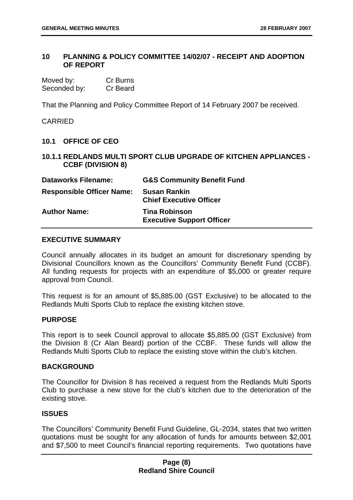#### **10 PLANNING & POLICY COMMITTEE 14/02/07 - RECEIPT AND ADOPTION OF REPORT**

| Moved by:    | Cr Burns |
|--------------|----------|
| Seconded by: | Cr Beard |

That the Planning and Policy Committee Report of 14 February 2007 be received.

CARRIED

#### **10.1 OFFICE OF CEO**

**10.1.1 REDLANDS MULTI SPORT CLUB UPGRADE OF KITCHEN APPLIANCES - CCBF (DIVISION 8)** 

| <b>Dataworks Filename:</b>       | <b>G&amp;S Community Benefit Fund</b>                    |
|----------------------------------|----------------------------------------------------------|
| <b>Responsible Officer Name:</b> | <b>Susan Rankin</b><br><b>Chief Executive Officer</b>    |
| <b>Author Name:</b>              | <b>Tina Robinson</b><br><b>Executive Support Officer</b> |

#### **EXECUTIVE SUMMARY**

Council annually allocates in its budget an amount for discretionary spending by Divisional Councillors known as the Councillors' Community Benefit Fund (CCBF). All funding requests for projects with an expenditure of \$5,000 or greater require approval from Council.

This request is for an amount of \$5,885.00 (GST Exclusive) to be allocated to the Redlands Multi Sports Club to replace the existing kitchen stove.

#### **PURPOSE**

This report is to seek Council approval to allocate \$5,885.00 (GST Exclusive) from the Division 8 (Cr Alan Beard) portion of the CCBF. These funds will allow the Redlands Multi Sports Club to replace the existing stove within the club's kitchen.

#### **BACKGROUND**

The Councillor for Division 8 has received a request from the Redlands Multi Sports Club to purchase a new stove for the club's kitchen due to the deterioration of the existing stove.

#### **ISSUES**

The Councillors' Community Benefit Fund Guideline, GL-2034, states that two written quotations must be sought for any allocation of funds for amounts between \$2,001 and \$7,500 to meet Council's financial reporting requirements. Two quotations have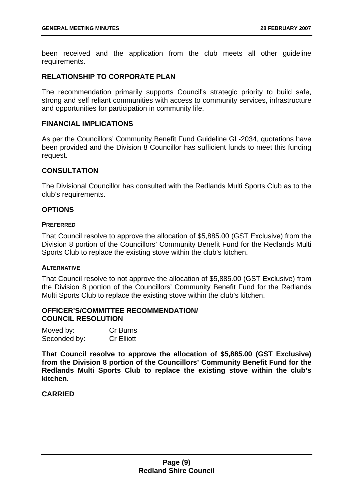been received and the application from the club meets all other guideline requirements.

#### **RELATIONSHIP TO CORPORATE PLAN**

The recommendation primarily supports Council's strategic priority to build safe, strong and self reliant communities with access to community services, infrastructure and opportunities for participation in community life.

#### **FINANCIAL IMPLICATIONS**

As per the Councillors' Community Benefit Fund Guideline GL-2034, quotations have been provided and the Division 8 Councillor has sufficient funds to meet this funding request.

#### **CONSULTATION**

The Divisional Councillor has consulted with the Redlands Multi Sports Club as to the club's requirements.

#### **OPTIONS**

#### **PREFERRED**

That Council resolve to approve the allocation of \$5,885.00 (GST Exclusive) from the Division 8 portion of the Councillors' Community Benefit Fund for the Redlands Multi Sports Club to replace the existing stove within the club's kitchen.

#### **ALTERNATIVE**

That Council resolve to not approve the allocation of \$5,885.00 (GST Exclusive) from the Division 8 portion of the Councillors' Community Benefit Fund for the Redlands Multi Sports Club to replace the existing stove within the club's kitchen.

#### **OFFICER'S/COMMITTEE RECOMMENDATION/ COUNCIL RESOLUTION**

| Moved by:    | Cr Burns          |
|--------------|-------------------|
| Seconded by: | <b>Cr Elliott</b> |

**That Council resolve to approve the allocation of \$5,885.00 (GST Exclusive) from the Division 8 portion of the Councillors' Community Benefit Fund for the Redlands Multi Sports Club to replace the existing stove within the club's kitchen.** 

#### **CARRIED**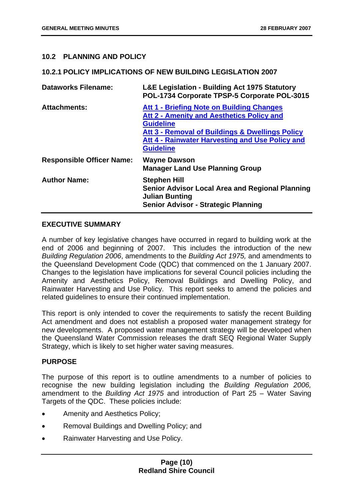#### **10.2 PLANNING AND POLICY**

#### **10.2.1 POLICY IMPLICATIONS OF NEW BUILDING LEGISLATION 2007**

| <b>Dataworks Filename:</b>       | <b>L&amp;E Legislation - Building Act 1975 Statutory</b><br>POL-1734 Corporate TPSP-5 Corporate POL-3015                                                                                                                                    |
|----------------------------------|---------------------------------------------------------------------------------------------------------------------------------------------------------------------------------------------------------------------------------------------|
| <b>Attachments:</b>              | Att 1 - Briefing Note on Building Changes<br><b>Att 2 - Amenity and Aesthetics Policy and</b><br><b>Guideline</b><br>Att 3 - Removal of Buildings & Dwellings Policy<br>Att 4 - Rainwater Harvesting and Use Policy and<br><b>Guideline</b> |
| <b>Responsible Officer Name:</b> | <b>Wayne Dawson</b><br><b>Manager Land Use Planning Group</b>                                                                                                                                                                               |
| <b>Author Name:</b>              | <b>Stephen Hill</b><br><b>Senior Advisor Local Area and Regional Planning</b><br><b>Julian Bunting</b><br><b>Senior Advisor - Strategic Planning</b>                                                                                        |

#### **EXECUTIVE SUMMARY**

A number of key legislative changes have occurred in regard to building work at the end of 2006 and beginning of 2007. This includes the introduction of the new *Building Regulation 2006*, amendments to the *Building Act 1975,* and amendments to the Queensland Development Code (QDC) that commenced on the 1 January 2007. Changes to the legislation have implications for several Council policies including the Amenity and Aesthetics Policy, Removal Buildings and Dwelling Policy, and Rainwater Harvesting and Use Policy. This report seeks to amend the policies and related guidelines to ensure their continued implementation.

This report is only intended to cover the requirements to satisfy the recent Building Act amendment and does not establish a proposed water management strategy for new developments. A proposed water management strategy will be developed when the Queensland Water Commission releases the draft SEQ Regional Water Supply Strategy, which is likely to set higher water saving measures.

#### **PURPOSE**

The purpose of this report is to outline amendments to a number of policies to recognise the new building legislation including the *Building Regulation 2006,*  amendment to the *Building Act 1975* and introduction of Part 25 – Water Saving Targets of the QDC. These policies include:

- Amenity and Aesthetics Policy;
- Removal Buildings and Dwelling Policy; and
- Rainwater Harvesting and Use Policy.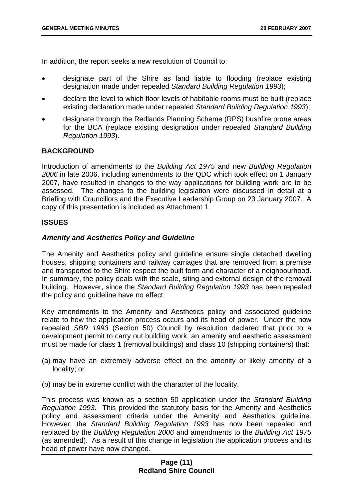In addition, the report seeks a new resolution of Council to:

- designate part of the Shire as land liable to flooding (replace existing designation made under repealed *Standard Building Regulation 1993*);
- declare the level to which floor levels of habitable rooms must be built (replace existing declaration made under repealed *Standard Building Regulation 1993*);
- designate through the Redlands Planning Scheme (RPS) bushfire prone areas for the BCA (replace existing designation under repealed *Standard Building Regulation 1993*).

#### **BACKGROUND**

Introduction of amendments to the *Building Act 1975* and new *Building Regulation 2006* in late 2006, including amendments to the QDC which took effect on 1 January 2007, have resulted in changes to the way applications for building work are to be assessed. The changes to the building legislation were discussed in detail at a Briefing with Councillors and the Executive Leadership Group on 23 January 2007. A copy of this presentation is included as Attachment 1.

#### **ISSUES**

#### *Amenity and Aesthetics Policy and Guideline*

The Amenity and Aesthetics policy and guideline ensure single detached dwelling houses, shipping containers and railway carriages that are removed from a premise and transported to the Shire respect the built form and character of a neighbourhood. In summary, the policy deals with the scale, siting and external design of the removal building. However, since the *Standard Building Regulation 1993* has been repealed the policy and guideline have no effect.

Key amendments to the Amenity and Aesthetics policy and associated guideline relate to how the application process occurs and its head of power. Under the now repealed *SBR 1993* (Section 50) Council by resolution declared that prior to a development permit to carry out building work, an amenity and aesthetic assessment must be made for class 1 (removal buildings) and class 10 (shipping containers) that:

- (a) may have an extremely adverse effect on the amenity or likely amenity of a locality; or
- (b) may be in extreme conflict with the character of the locality.

This process was known as a section 50 application under the *Standard Building Regulation 1993*. This provided the statutory basis for the Amenity and Aesthetics policy and assessment criteria under the Amenity and Aesthetics guideline. However, the *Standard Building Regulation 1993* has now been repealed and replaced by the *Building Regulation 2006* and amendments to the *Building Act 1975* (as amended). As a result of this change in legislation the application process and its head of power have now changed.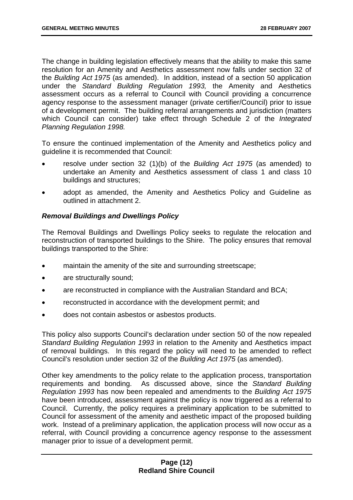The change in building legislation effectively means that the ability to make this same resolution for an Amenity and Aesthetics assessment now falls under section 32 of the *Building Act 1975* (as amended). In addition, instead of a section 50 application under the *Standard Building Regulation 1993,* the Amenity and Aesthetics assessment occurs as a referral to Council with Council providing a concurrence agency response to the assessment manager (private certifier/Council) prior to issue of a development permit. The building referral arrangements and jurisdiction (matters which Council can consider) take effect through Schedule 2 of the *Integrated Planning Regulation 1998.* 

To ensure the continued implementation of the Amenity and Aesthetics policy and guideline it is recommended that Council:

- resolve under section 32 (1)(b) of the *Building Act 1975* (as amended) to undertake an Amenity and Aesthetics assessment of class 1 and class 10 buildings and structures;
- adopt as amended, the Amenity and Aesthetics Policy and Guideline as outlined in attachment 2.

#### *Removal Buildings and Dwellings Policy*

The Removal Buildings and Dwellings Policy seeks to regulate the relocation and reconstruction of transported buildings to the Shire. The policy ensures that removal buildings transported to the Shire:

- maintain the amenity of the site and surrounding streetscape;
- are structurally sound;
- are reconstructed in compliance with the Australian Standard and BCA;
- reconstructed in accordance with the development permit; and
- does not contain asbestos or asbestos products.

This policy also supports Council's declaration under section 50 of the now repealed *Standard Building Regulation 1993* in relation to the Amenity and Aesthetics impact of removal buildings. In this regard the policy will need to be amended to reflect Council's resolution under section 32 of the *Building Act 1975* (as amended).

Other key amendments to the policy relate to the application process, transportation requirements and bonding. As discussed above, since the *Standard Building Regulation 1993* has now been repealed and amendments to the *Building Act 1975* have been introduced, assessment against the policy is now triggered as a referral to Council. Currently, the policy requires a preliminary application to be submitted to Council for assessment of the amenity and aesthetic impact of the proposed building work. Instead of a preliminary application, the application process will now occur as a referral, with Council providing a concurrence agency response to the assessment manager prior to issue of a development permit.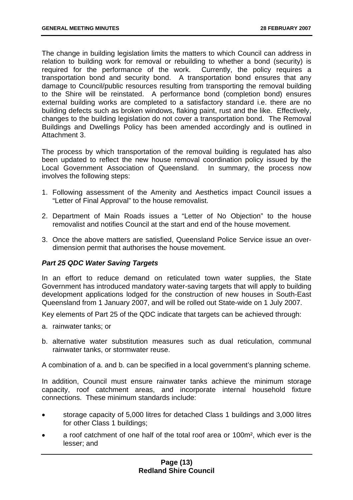The change in building legislation limits the matters to which Council can address in relation to building work for removal or rebuilding to whether a bond (security) is required for the performance of the work. Currently, the policy requires a required for the performance of the work. transportation bond and security bond. A transportation bond ensures that any damage to Council/public resources resulting from transporting the removal building to the Shire will be reinstated. A performance bond (completion bond) ensures external building works are completed to a satisfactory standard i.e. there are no building defects such as broken windows, flaking paint, rust and the like. Effectively, changes to the building legislation do not cover a transportation bond. The Removal Buildings and Dwellings Policy has been amended accordingly and is outlined in Attachment 3.

The process by which transportation of the removal building is regulated has also been updated to reflect the new house removal coordination policy issued by the Local Government Association of Queensland. In summary, the process now involves the following steps:

- 1. Following assessment of the Amenity and Aesthetics impact Council issues a "Letter of Final Approval" to the house removalist.
- 2. Department of Main Roads issues a "Letter of No Objection" to the house removalist and notifies Council at the start and end of the house movement.
- 3. Once the above matters are satisfied, Queensland Police Service issue an overdimension permit that authorises the house movement.

#### *Part 25 QDC Water Saving Targets*

In an effort to reduce demand on reticulated town water supplies, the State Government has introduced mandatory water-saving targets that will apply to building development applications lodged for the construction of new houses in South-East Queensland from 1 January 2007, and will be rolled out State-wide on 1 July 2007.

Key elements of Part 25 of the QDC indicate that targets can be achieved through:

- a. rainwater tanks; or
- b. alternative water substitution measures such as dual reticulation, communal rainwater tanks, or stormwater reuse.

A combination of a. and b. can be specified in a local government's planning scheme.

In addition, Council must ensure rainwater tanks achieve the minimum storage capacity, roof catchment areas, and incorporate internal household fixture connections. These minimum standards include:

- storage capacity of 5,000 litres for detached Class 1 buildings and 3,000 litres for other Class 1 buildings;
- a roof catchment of one half of the total roof area or 100m², which ever is the lesser; and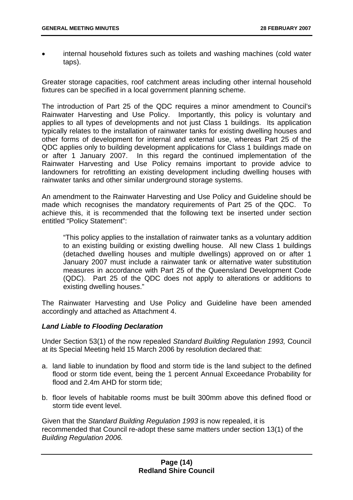• internal household fixtures such as toilets and washing machines (cold water taps).

Greater storage capacities, roof catchment areas including other internal household fixtures can be specified in a local government planning scheme.

The introduction of Part 25 of the QDC requires a minor amendment to Council's Rainwater Harvesting and Use Policy. Importantly, this policy is voluntary and applies to all types of developments and not just Class 1 buildings. Its application typically relates to the installation of rainwater tanks for existing dwelling houses and other forms of development for internal and external use, whereas Part 25 of the QDC applies only to building development applications for Class 1 buildings made on or after 1 January 2007. In this regard the continued implementation of the Rainwater Harvesting and Use Policy remains important to provide advice to landowners for retrofitting an existing development including dwelling houses with rainwater tanks and other similar underground storage systems.

An amendment to the Rainwater Harvesting and Use Policy and Guideline should be made which recognises the mandatory requirements of Part 25 of the QDC. To achieve this, it is recommended that the following text be inserted under section entitled "Policy Statement":

"This policy applies to the installation of rainwater tanks as a voluntary addition to an existing building or existing dwelling house. All new Class 1 buildings (detached dwelling houses and multiple dwellings) approved on or after 1 January 2007 must include a rainwater tank or alternative water substitution measures in accordance with Part 25 of the Queensland Development Code (QDC). Part 25 of the QDC does not apply to alterations or additions to existing dwelling houses."

The Rainwater Harvesting and Use Policy and Guideline have been amended accordingly and attached as Attachment 4.

#### *Land Liable to Flooding Declaration*

Under Section 53(1) of the now repealed *Standard Building Regulation 1993,* Council at its Special Meeting held 15 March 2006 by resolution declared that:

- a. land liable to inundation by flood and storm tide is the land subject to the defined flood or storm tide event, being the 1 percent Annual Exceedance Probability for flood and 2.4m AHD for storm tide;
- b. floor levels of habitable rooms must be built 300mm above this defined flood or storm tide event level.

Given that the *Standard Building Regulation 1993* is now repealed, it is recommended that Council re-adopt these same matters under section 13(1) of the *Building Regulation 2006.*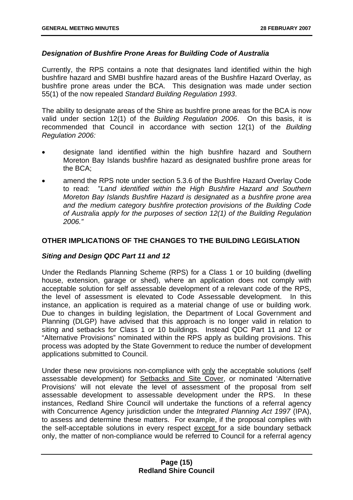#### *Designation of Bushfire Prone Areas for Building Code of Australia*

Currently, the RPS contains a note that designates land identified within the high bushfire hazard and SMBI bushfire hazard areas of the Bushfire Hazard Overlay, as bushfire prone areas under the BCA. This designation was made under section 55(1) of the now repealed *Standard Building Regulation 1993*.

The ability to designate areas of the Shire as bushfire prone areas for the BCA is now valid under section 12(1) of the *Building Regulation 2006*. On this basis, it is recommended that Council in accordance with section 12(1) of the *Building Regulation 2006:* 

- designate land identified within the high bushfire hazard and Southern Moreton Bay Islands bushfire hazard as designated bushfire prone areas for the BCA;
- amend the RPS note under section 5.3.6 of the Bushfire Hazard Overlay Code to read: "*Land identified within the High Bushfire Hazard and Southern Moreton Bay Islands Bushfire Hazard is designated as a bushfire prone area and the medium category bushfire protection provisions of the Building Code of Australia apply for the purposes of section 12(1) of the Building Regulation 2006."*

#### **OTHER IMPLICATIONS OF THE CHANGES TO THE BUILDING LEGISLATION**

#### *Siting and Design QDC Part 11 and 12*

Under the Redlands Planning Scheme (RPS) for a Class 1 or 10 building (dwelling house, extension, garage or shed), where an application does not comply with acceptable solution for self assessable development of a relevant code of the RPS, the level of assessment is elevated to Code Assessable development. In this instance, an application is required as a material change of use or building work. Due to changes in building legislation, the Department of Local Government and Planning (DLGP) have advised that this approach is no longer valid in relation to siting and setbacks for Class 1 or 10 buildings. Instead QDC Part 11 and 12 or "Alternative Provisions" nominated within the RPS apply as building provisions. This process was adopted by the State Government to reduce the number of development applications submitted to Council.

Under these new provisions non-compliance with only the acceptable solutions (self assessable development) for Setbacks and Site Cover, or nominated 'Alternative Provisions' will not elevate the level of assessment of the proposal from self assessable development to assessable development under the RPS. In these instances, Redland Shire Council will undertake the functions of a referral agency with Concurrence Agency jurisdiction under the *Integrated Planning Act 1997* (IPA), to assess and determine these matters. For example, if the proposal complies with the self-acceptable solutions in every respect except for a side boundary setback only, the matter of non-compliance would be referred to Council for a referral agency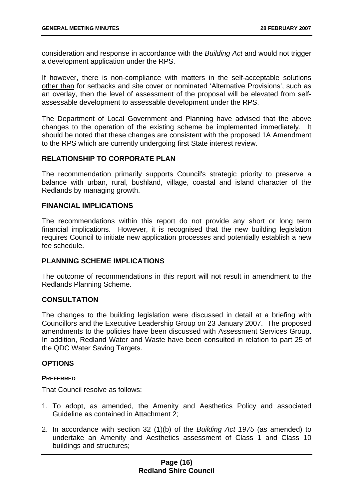consideration and response in accordance with the *Building Act* and would not trigger a development application under the RPS.

If however, there is non-compliance with matters in the self-acceptable solutions other than for setbacks and site cover or nominated 'Alternative Provisions', such as an overlay, then the level of assessment of the proposal will be elevated from selfassessable development to assessable development under the RPS.

The Department of Local Government and Planning have advised that the above changes to the operation of the existing scheme be implemented immediately. It should be noted that these changes are consistent with the proposed 1A Amendment to the RPS which are currently undergoing first State interest review.

#### **RELATIONSHIP TO CORPORATE PLAN**

The recommendation primarily supports Council's strategic priority to preserve a balance with urban, rural, bushland, village, coastal and island character of the Redlands by managing growth.

#### **FINANCIAL IMPLICATIONS**

The recommendations within this report do not provide any short or long term financial implications. However, it is recognised that the new building legislation requires Council to initiate new application processes and potentially establish a new fee schedule.

#### **PLANNING SCHEME IMPLICATIONS**

The outcome of recommendations in this report will not result in amendment to the Redlands Planning Scheme.

#### **CONSULTATION**

The changes to the building legislation were discussed in detail at a briefing with Councillors and the Executive Leadership Group on 23 January 2007. The proposed amendments to the policies have been discussed with Assessment Services Group. In addition, Redland Water and Waste have been consulted in relation to part 25 of the QDC Water Saving Targets.

#### **OPTIONS**

#### **PREFERRED**

That Council resolve as follows:

- 1. To adopt, as amended, the Amenity and Aesthetics Policy and associated Guideline as contained in Attachment 2;
- 2. In accordance with section 32 (1)(b) of the *Building Act 1975* (as amended) to undertake an Amenity and Aesthetics assessment of Class 1 and Class 10 buildings and structures;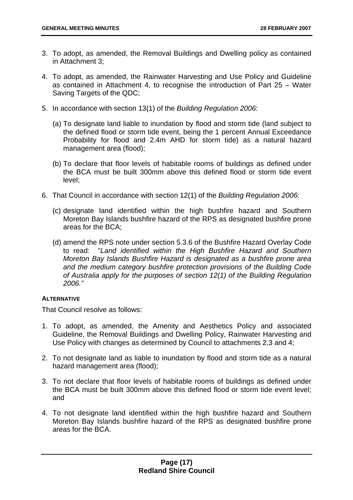- 3. To adopt, as amended, the Removal Buildings and Dwelling policy as contained in Attachment 3;
- 4. To adopt, as amended, the Rainwater Harvesting and Use Policy and Guideline as contained in Attachment 4, to recognise the introduction of Part 25 – Water Saving Targets of the QDC;
- 5. In accordance with section 13(1) of the *Building Regulation 2006*:
	- (a) To designate land liable to inundation by flood and storm tide (land subject to the defined flood or storm tide event, being the 1 percent Annual Exceedance Probability for flood and 2.4m AHD for storm tide) as a natural hazard management area (flood);
	- (b) To declare that floor levels of habitable rooms of buildings as defined under the BCA must be built 300mm above this defined flood or storm tide event level;
- 6. That Council in accordance with section 12(1) of the *Building Regulation 2006*:
	- (c) designate land identified within the high bushfire hazard and Southern Moreton Bay Islands bushfire hazard of the RPS as designated bushfire prone areas for the BCA;
	- (d) amend the RPS note under section 5.3.6 of the Bushfire Hazard Overlay Code to read: "*Land identified within the High Bushfire Hazard and Southern Moreton Bay Islands Bushfire Hazard is designated as a bushfire prone area and the medium category bushfire protection provisions of the Building Code of Australia apply for the purposes of section 12(1) of the Building Regulation 2006."*

#### **ALTERNATIVE**

That Council resolve as follows:

- 1. To adopt, as amended, the Amenity and Aesthetics Policy and associated Guideline, the Removal Buildings and Dwelling Policy, Rainwater Harvesting and Use Policy with changes as determined by Council to attachments 2,3 and 4;
- 2. To not designate land as liable to inundation by flood and storm tide as a natural hazard management area (flood);
- 3. To not declare that floor levels of habitable rooms of buildings as defined under the BCA must be built 300mm above this defined flood or storm tide event level; and
- 4. To not designate land identified within the high bushfire hazard and Southern Moreton Bay Islands bushfire hazard of the RPS as designated bushfire prone areas for the BCA.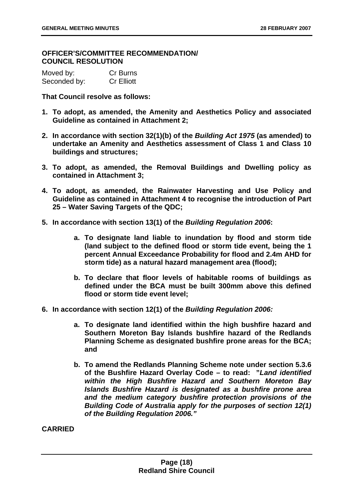**OFFICER'S/COMMITTEE RECOMMENDATION/ COUNCIL RESOLUTION** 

| Moved by:    | Cr Burns          |
|--------------|-------------------|
| Seconded by: | <b>Cr Elliott</b> |

**That Council resolve as follows:** 

- **1. To adopt, as amended, the Amenity and Aesthetics Policy and associated Guideline as contained in Attachment 2;**
- **2. In accordance with section 32(1)(b) of the** *Building Act 1975* **(as amended) to undertake an Amenity and Aesthetics assessment of Class 1 and Class 10 buildings and structures;**
- **3. To adopt, as amended, the Removal Buildings and Dwelling policy as contained in Attachment 3;**
- **4. To adopt, as amended, the Rainwater Harvesting and Use Policy and Guideline as contained in Attachment 4 to recognise the introduction of Part 25 – Water Saving Targets of the QDC;**
- **5. In accordance with section 13(1) of the** *Building Regulation 2006***:** 
	- **a. To designate land liable to inundation by flood and storm tide (land subject to the defined flood or storm tide event, being the 1 percent Annual Exceedance Probability for flood and 2.4m AHD for storm tide) as a natural hazard management area (flood);**
	- **b. To declare that floor levels of habitable rooms of buildings as defined under the BCA must be built 300mm above this defined flood or storm tide event level;**
- **6. In accordance with section 12(1) of the** *Building Regulation 2006:*
	- **a. To designate land identified within the high bushfire hazard and Southern Moreton Bay Islands bushfire hazard of the Redlands Planning Scheme as designated bushfire prone areas for the BCA; and**
	- **b. To amend the Redlands Planning Scheme note under section 5.3.6 of the Bushfire Hazard Overlay Code – to read: "***Land identified within the High Bushfire Hazard and Southern Moreton Bay Islands Bushfire Hazard is designated as a bushfire prone area and the medium category bushfire protection provisions of the Building Code of Australia apply for the purposes of section 12(1) of the Building Regulation 2006."*

**CARRIED**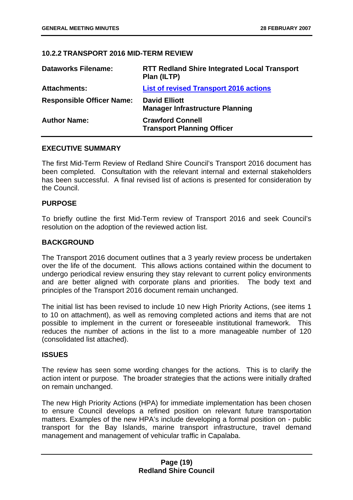#### **10.2.2 TRANSPORT 2016 MID-TERM REVIEW**

| <b>Dataworks Filename:</b>       | <b>RTT Redland Shire Integrated Local Transport</b><br>Plan (ILTP) |
|----------------------------------|--------------------------------------------------------------------|
| <b>Attachments:</b>              | <b>List of revised Transport 2016 actions</b>                      |
| <b>Responsible Officer Name:</b> | <b>David Elliott</b><br><b>Manager Infrastructure Planning</b>     |
| <b>Author Name:</b>              | <b>Crawford Connell</b><br><b>Transport Planning Officer</b>       |

#### **EXECUTIVE SUMMARY**

The first Mid-Term Review of Redland Shire Council's Transport 2016 document has been completed. Consultation with the relevant internal and external stakeholders has been successful. A final revised list of actions is presented for consideration by the Council.

#### **PURPOSE**

To briefly outline the first Mid-Term review of Transport 2016 and seek Council's resolution on the adoption of the reviewed action list.

#### **BACKGROUND**

The Transport 2016 document outlines that a 3 yearly review process be undertaken over the life of the document. This allows actions contained within the document to undergo periodical review ensuring they stay relevant to current policy environments and are better aligned with corporate plans and priorities. The body text and principles of the Transport 2016 document remain unchanged.

The initial list has been revised to include 10 new High Priority Actions, (see items 1 to 10 on attachment), as well as removing completed actions and items that are not possible to implement in the current or foreseeable institutional framework. This reduces the number of actions in the list to a more manageable number of 120 (consolidated list attached).

#### **ISSUES**

The review has seen some wording changes for the actions. This is to clarify the action intent or purpose. The broader strategies that the actions were initially drafted on remain unchanged.

The new High Priority Actions (HPA) for immediate implementation has been chosen to ensure Council develops a refined position on relevant future transportation matters. Examples of the new HPA's include developing a formal position on - public transport for the Bay Islands, marine transport infrastructure, travel demand management and management of vehicular traffic in Capalaba.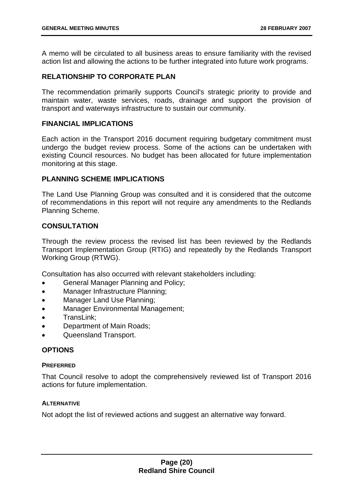A memo will be circulated to all business areas to ensure familiarity with the revised action list and allowing the actions to be further integrated into future work programs.

#### **RELATIONSHIP TO CORPORATE PLAN**

The recommendation primarily supports Council's strategic priority to provide and maintain water, waste services, roads, drainage and support the provision of transport and waterways infrastructure to sustain our community.

#### **FINANCIAL IMPLICATIONS**

Each action in the Transport 2016 document requiring budgetary commitment must undergo the budget review process. Some of the actions can be undertaken with existing Council resources. No budget has been allocated for future implementation monitoring at this stage.

#### **PLANNING SCHEME IMPLICATIONS**

The Land Use Planning Group was consulted and it is considered that the outcome of recommendations in this report will not require any amendments to the Redlands Planning Scheme.

#### **CONSULTATION**

Through the review process the revised list has been reviewed by the Redlands Transport Implementation Group (RTIG) and repeatedly by the Redlands Transport Working Group (RTWG).

Consultation has also occurred with relevant stakeholders including:

- General Manager Planning and Policy;
- Manager Infrastructure Planning;
- Manager Land Use Planning;
- Manager Environmental Management;
- TransLink;
- Department of Main Roads;
- Queensland Transport.

#### **OPTIONS**

#### **PREFERRED**

That Council resolve to adopt the comprehensively reviewed list of Transport 2016 actions for future implementation.

#### **ALTERNATIVE**

Not adopt the list of reviewed actions and suggest an alternative way forward.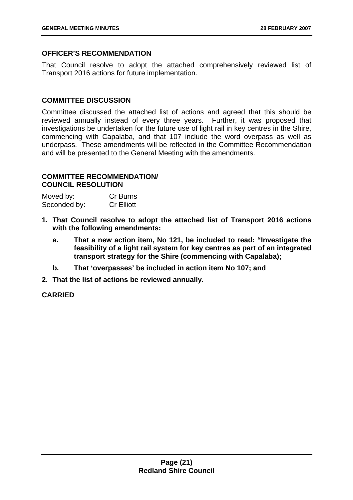#### **OFFICER'S RECOMMENDATION**

That Council resolve to adopt the attached comprehensively reviewed list of Transport 2016 actions for future implementation.

#### **COMMITTEE DISCUSSION**

Committee discussed the attached list of actions and agreed that this should be reviewed annually instead of every three years. Further, it was proposed that investigations be undertaken for the future use of light rail in key centres in the Shire, commencing with Capalaba, and that 107 include the word overpass as well as underpass. These amendments will be reflected in the Committee Recommendation and will be presented to the General Meeting with the amendments.

#### **COMMITTEE RECOMMENDATION/ COUNCIL RESOLUTION**

| Moved by:    | Cr Burns          |
|--------------|-------------------|
| Seconded by: | <b>Cr Elliott</b> |

- **1. That Council resolve to adopt the attached list of Transport 2016 actions with the following amendments:** 
	- **a. That a new action item, No 121, be included to read: "Investigate the feasibility of a light rail system for key centres as part of an integrated transport strategy for the Shire (commencing with Capalaba);**
	- **b. That 'overpasses' be included in action item No 107; and**
- **2. That the list of actions be reviewed annually.**

#### **CARRIED**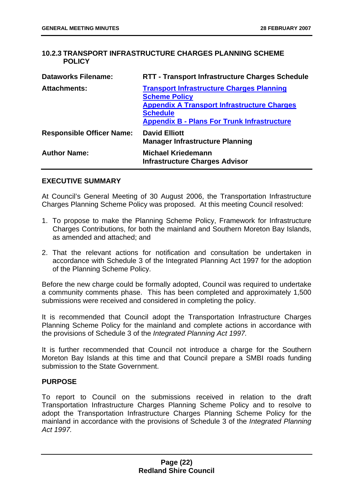#### **10.2.3 TRANSPORT INFRASTRUCTURE CHARGES PLANNING SCHEME POLICY**

| <b>Dataworks Filename:</b>       | RTT - Transport Infrastructure Charges Schedule                                                                                                                                                         |
|----------------------------------|---------------------------------------------------------------------------------------------------------------------------------------------------------------------------------------------------------|
| <b>Attachments:</b>              | <b>Transport Infrastructure Charges Planning</b><br><b>Scheme Policy</b><br><b>Appendix A Transport Infrastructure Charges</b><br><b>Schedule</b><br><b>Appendix B - Plans For Trunk Infrastructure</b> |
| <b>Responsible Officer Name:</b> | <b>David Elliott</b><br><b>Manager Infrastructure Planning</b>                                                                                                                                          |
| <b>Author Name:</b>              | <b>Michael Kriedemann</b><br><b>Infrastructure Charges Advisor</b>                                                                                                                                      |

#### **EXECUTIVE SUMMARY**

At Council's General Meeting of 30 August 2006, the Transportation Infrastructure Charges Planning Scheme Policy was proposed. At this meeting Council resolved:

- 1. To propose to make the Planning Scheme Policy, Framework for Infrastructure Charges Contributions, for both the mainland and Southern Moreton Bay Islands, as amended and attached; and
- 2. That the relevant actions for notification and consultation be undertaken in accordance with Schedule 3 of the Integrated Planning Act 1997 for the adoption of the Planning Scheme Policy.

Before the new charge could be formally adopted, Council was required to undertake a community comments phase. This has been completed and approximately 1,500 submissions were received and considered in completing the policy.

It is recommended that Council adopt the Transportation Infrastructure Charges Planning Scheme Policy for the mainland and complete actions in accordance with the provisions of Schedule 3 of the *Integrated Planning Act 1997.* 

It is further recommended that Council not introduce a charge for the Southern Moreton Bay Islands at this time and that Council prepare a SMBI roads funding submission to the State Government.

#### **PURPOSE**

To report to Council on the submissions received in relation to the draft Transportation Infrastructure Charges Planning Scheme Policy and to resolve to adopt the Transportation Infrastructure Charges Planning Scheme Policy for the mainland in accordance with the provisions of Schedule 3 of the *Integrated Planning Act 1997.*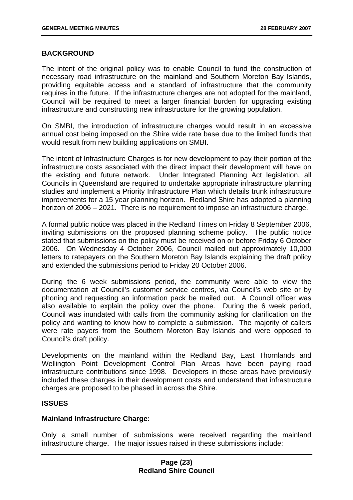#### **BACKGROUND**

The intent of the original policy was to enable Council to fund the construction of necessary road infrastructure on the mainland and Southern Moreton Bay Islands, providing equitable access and a standard of infrastructure that the community requires in the future. If the infrastructure charges are not adopted for the mainland, Council will be required to meet a larger financial burden for upgrading existing infrastructure and constructing new infrastructure for the growing population.

On SMBI, the introduction of infrastructure charges would result in an excessive annual cost being imposed on the Shire wide rate base due to the limited funds that would result from new building applications on SMBI.

The intent of Infrastructure Charges is for new development to pay their portion of the infrastructure costs associated with the direct impact their development will have on the existing and future network. Under Integrated Planning Act legislation, all Councils in Queensland are required to undertake appropriate infrastructure planning studies and implement a Priority Infrastructure Plan which details trunk infrastructure improvements for a 15 year planning horizon. Redland Shire has adopted a planning horizon of 2006 – 2021. There is no requirement to impose an infrastructure charge.

A formal public notice was placed in the Redland Times on Friday 8 September 2006, inviting submissions on the proposed planning scheme policy. The public notice stated that submissions on the policy must be received on or before Friday 6 October 2006. On Wednesday 4 October 2006, Council mailed out approximately 10,000 letters to ratepayers on the Southern Moreton Bay Islands explaining the draft policy and extended the submissions period to Friday 20 October 2006.

During the 6 week submissions period, the community were able to view the documentation at Council's customer service centres, via Council's web site or by phoning and requesting an information pack be mailed out. A Council officer was also available to explain the policy over the phone. During the 6 week period, Council was inundated with calls from the community asking for clarification on the policy and wanting to know how to complete a submission. The majority of callers were rate payers from the Southern Moreton Bay Islands and were opposed to Council's draft policy.

Developments on the mainland within the Redland Bay, East Thornlands and Wellington Point Development Control Plan Areas have been paying road infrastructure contributions since 1998. Developers in these areas have previously included these charges in their development costs and understand that infrastructure charges are proposed to be phased in across the Shire.

#### **ISSUES**

#### **Mainland Infrastructure Charge:**

Only a small number of submissions were received regarding the mainland infrastructure charge. The major issues raised in these submissions include: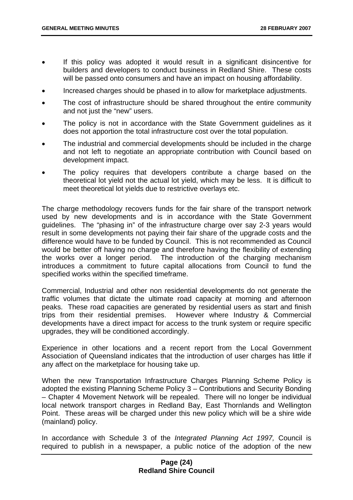- If this policy was adopted it would result in a significant disincentive for builders and developers to conduct business in Redland Shire. These costs will be passed onto consumers and have an impact on housing affordability.
- Increased charges should be phased in to allow for marketplace adjustments.
- The cost of infrastructure should be shared throughout the entire community and not just the "new" users.
- The policy is not in accordance with the State Government quidelines as it does not apportion the total infrastructure cost over the total population.
- The industrial and commercial developments should be included in the charge and not left to negotiate an appropriate contribution with Council based on development impact.
- The policy requires that developers contribute a charge based on the theoretical lot yield not the actual lot yield, which may be less. It is difficult to meet theoretical lot yields due to restrictive overlays etc.

The charge methodology recovers funds for the fair share of the transport network used by new developments and is in accordance with the State Government guidelines. The "phasing in" of the infrastructure charge over say 2-3 years would result in some developments not paying their fair share of the upgrade costs and the difference would have to be funded by Council. This is not recommended as Council would be better off having no charge and therefore having the flexibility of extending the works over a longer period. The introduction of the charging mechanism introduces a commitment to future capital allocations from Council to fund the specified works within the specified timeframe.

Commercial, Industrial and other non residential developments do not generate the traffic volumes that dictate the ultimate road capacity at morning and afternoon peaks. These road capacities are generated by residential users as start and finish trips from their residential premises. However where Industry & Commercial developments have a direct impact for access to the trunk system or require specific upgrades, they will be conditioned accordingly.

Experience in other locations and a recent report from the Local Government Association of Queensland indicates that the introduction of user charges has little if any affect on the marketplace for housing take up.

When the new Transportation Infrastructure Charges Planning Scheme Policy is adopted the existing Planning Scheme Policy 3 – Contributions and Security Bonding – Chapter 4 Movement Network will be repealed. There will no longer be individual local network transport charges in Redland Bay, East Thornlands and Wellington Point. These areas will be charged under this new policy which will be a shire wide (mainland) policy.

In accordance with Schedule 3 of the *Integrated Planning Act 1997,* Council is required to publish in a newspaper, a public notice of the adoption of the new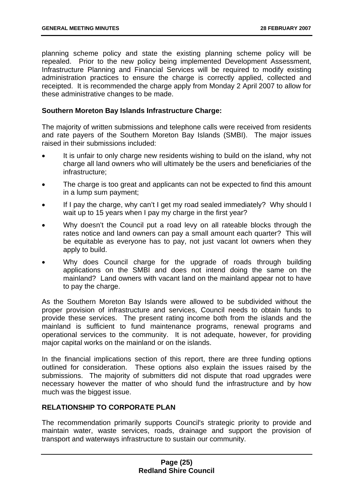planning scheme policy and state the existing planning scheme policy will be repealed. Prior to the new policy being implemented Development Assessment, Infrastructure Planning and Financial Services will be required to modify existing administration practices to ensure the charge is correctly applied, collected and receipted. It is recommended the charge apply from Monday 2 April 2007 to allow for these administrative changes to be made.

#### **Southern Moreton Bay Islands Infrastructure Charge:**

The majority of written submissions and telephone calls were received from residents and rate payers of the Southern Moreton Bay Islands (SMBI). The major issues raised in their submissions included:

- It is unfair to only charge new residents wishing to build on the island, why not charge all land owners who will ultimately be the users and beneficiaries of the infrastructure;
- The charge is too great and applicants can not be expected to find this amount in a lump sum payment;
- If I pay the charge, why can't I get my road sealed immediately? Why should I wait up to 15 years when I pay my charge in the first year?
- Why doesn't the Council put a road levy on all rateable blocks through the rates notice and land owners can pay a small amount each quarter? This will be equitable as everyone has to pay, not just vacant lot owners when they apply to build.
- Why does Council charge for the upgrade of roads through building applications on the SMBI and does not intend doing the same on the mainland? Land owners with vacant land on the mainland appear not to have to pay the charge.

As the Southern Moreton Bay Islands were allowed to be subdivided without the proper provision of infrastructure and services, Council needs to obtain funds to provide these services. The present rating income both from the islands and the mainland is sufficient to fund maintenance programs, renewal programs and operational services to the community. It is not adequate, however, for providing major capital works on the mainland or on the islands.

In the financial implications section of this report, there are three funding options outlined for consideration. These options also explain the issues raised by the submissions. The majority of submitters did not dispute that road upgrades were necessary however the matter of who should fund the infrastructure and by how much was the biggest issue.

#### **RELATIONSHIP TO CORPORATE PLAN**

The recommendation primarily supports Council's strategic priority to provide and maintain water, waste services, roads, drainage and support the provision of transport and waterways infrastructure to sustain our community.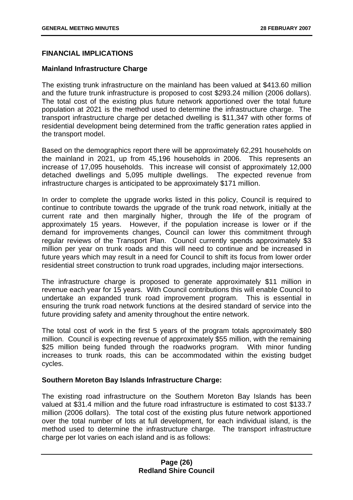#### **FINANCIAL IMPLICATIONS**

#### **Mainland Infrastructure Charge**

The existing trunk infrastructure on the mainland has been valued at \$413.60 million and the future trunk infrastructure is proposed to cost \$293.24 million (2006 dollars). The total cost of the existing plus future network apportioned over the total future population at 2021 is the method used to determine the infrastructure charge. The transport infrastructure charge per detached dwelling is \$11,347 with other forms of residential development being determined from the traffic generation rates applied in the transport model.

Based on the demographics report there will be approximately 62,291 households on the mainland in 2021, up from 45,196 households in 2006. This represents an increase of 17,095 households. This increase will consist of approximately 12,000 detached dwellings and 5,095 multiple dwellings. The expected revenue from infrastructure charges is anticipated to be approximately \$171 million.

In order to complete the upgrade works listed in this policy, Council is required to continue to contribute towards the upgrade of the trunk road network, initially at the current rate and then marginally higher, through the life of the program of approximately 15 years. However, if the population increase is lower or if the demand for improvements changes, Council can lower this commitment through regular reviews of the Transport Plan. Council currently spends approximately \$3 million per year on trunk roads and this will need to continue and be increased in future years which may result in a need for Council to shift its focus from lower order residential street construction to trunk road upgrades, including major intersections.

The infrastructure charge is proposed to generate approximately \$11 million in revenue each year for 15 years. With Council contributions this will enable Council to undertake an expanded trunk road improvement program. This is essential in ensuring the trunk road network functions at the desired standard of service into the future providing safety and amenity throughout the entire network.

The total cost of work in the first 5 years of the program totals approximately \$80 million. Council is expecting revenue of approximately \$55 million, with the remaining \$25 million being funded through the roadworks program. With minor funding increases to trunk roads, this can be accommodated within the existing budget cycles.

#### **Southern Moreton Bay Islands Infrastructure Charge:**

The existing road infrastructure on the Southern Moreton Bay Islands has been valued at \$31.4 million and the future road infrastructure is estimated to cost \$133.7 million (2006 dollars). The total cost of the existing plus future network apportioned over the total number of lots at full development, for each individual island, is the method used to determine the infrastructure charge. The transport infrastructure charge per lot varies on each island and is as follows: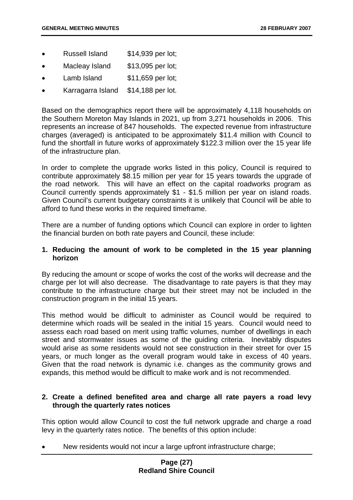- Russell Island \$14,939 per lot;
- Macleay Island \$13,095 per lot;
- Lamb Island \$11,659 per lot;
- Karragarra Island \$14,188 per lot.

Based on the demographics report there will be approximately 4,118 households on the Southern Moreton May Islands in 2021, up from 3,271 households in 2006. This represents an increase of 847 households. The expected revenue from infrastructure charges (averaged) is anticipated to be approximately \$11.4 million with Council to fund the shortfall in future works of approximately \$122.3 million over the 15 year life of the infrastructure plan.

In order to complete the upgrade works listed in this policy, Council is required to contribute approximately \$8.15 million per year for 15 years towards the upgrade of the road network. This will have an effect on the capital roadworks program as Council currently spends approximately \$1 - \$1.5 million per year on island roads. Given Council's current budgetary constraints it is unlikely that Council will be able to afford to fund these works in the required timeframe.

There are a number of funding options which Council can explore in order to lighten the financial burden on both rate payers and Council, these include:

#### **1. Reducing the amount of work to be completed in the 15 year planning horizon**

By reducing the amount or scope of works the cost of the works will decrease and the charge per lot will also decrease. The disadvantage to rate payers is that they may contribute to the infrastructure charge but their street may not be included in the construction program in the initial 15 years.

This method would be difficult to administer as Council would be required to determine which roads will be sealed in the initial 15 years. Council would need to assess each road based on merit using traffic volumes, number of dwellings in each street and stormwater issues as some of the guiding criteria. Inevitably disputes would arise as some residents would not see construction in their street for over 15 years, or much longer as the overall program would take in excess of 40 years. Given that the road network is dynamic i.e. changes as the community grows and expands, this method would be difficult to make work and is not recommended.

#### **2. Create a defined benefited area and charge all rate payers a road levy through the quarterly rates notices**

This option would allow Council to cost the full network upgrade and charge a road levy in the quarterly rates notice. The benefits of this option include:

New residents would not incur a large upfront infrastructure charge;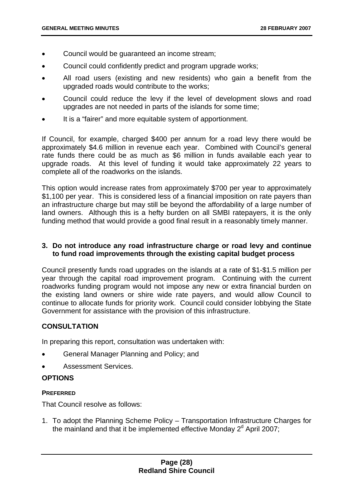- Council would be guaranteed an income stream;
- Council could confidently predict and program upgrade works;
- All road users (existing and new residents) who gain a benefit from the upgraded roads would contribute to the works;
- Council could reduce the levy if the level of development slows and road upgrades are not needed in parts of the islands for some time;
- It is a "fairer" and more equitable system of apportionment.

If Council, for example, charged \$400 per annum for a road levy there would be approximately \$4.6 million in revenue each year. Combined with Council's general rate funds there could be as much as \$6 million in funds available each year to upgrade roads. At this level of funding it would take approximately 22 years to complete all of the roadworks on the islands.

This option would increase rates from approximately \$700 per year to approximately \$1,100 per year. This is considered less of a financial imposition on rate payers than an infrastructure charge but may still be beyond the affordability of a large number of land owners. Although this is a hefty burden on all SMBI ratepayers, it is the only funding method that would provide a good final result in a reasonably timely manner.

#### **3. Do not introduce any road infrastructure charge or road levy and continue to fund road improvements through the existing capital budget process**

Council presently funds road upgrades on the islands at a rate of \$1-\$1.5 million per year through the capital road improvement program. Continuing with the current roadworks funding program would not impose any new or extra financial burden on the existing land owners or shire wide rate payers, and would allow Council to continue to allocate funds for priority work. Council could consider lobbying the State Government for assistance with the provision of this infrastructure.

#### **CONSULTATION**

In preparing this report, consultation was undertaken with:

- General Manager Planning and Policy; and
- Assessment Services.

#### **OPTIONS**

#### **PREFERRED**

That Council resolve as follows:

1. To adopt the Planning Scheme Policy – Transportation Infrastructure Charges for the mainland and that it be implemented effective Monday  $2<sup>d</sup>$  April 2007;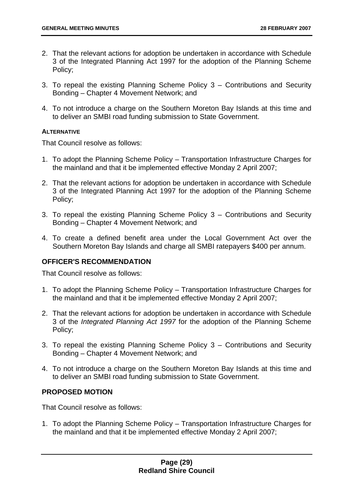- 2. That the relevant actions for adoption be undertaken in accordance with Schedule 3 of the Integrated Planning Act 1997 for the adoption of the Planning Scheme Policy;
- 3. To repeal the existing Planning Scheme Policy 3 Contributions and Security Bonding – Chapter 4 Movement Network; and
- 4. To not introduce a charge on the Southern Moreton Bay Islands at this time and to deliver an SMBI road funding submission to State Government.

#### **ALTERNATIVE**

That Council resolve as follows:

- 1. To adopt the Planning Scheme Policy Transportation Infrastructure Charges for the mainland and that it be implemented effective Monday 2 April 2007;
- 2. That the relevant actions for adoption be undertaken in accordance with Schedule 3 of the Integrated Planning Act 1997 for the adoption of the Planning Scheme Policy;
- 3. To repeal the existing Planning Scheme Policy 3 Contributions and Security Bonding – Chapter 4 Movement Network; and
- 4. To create a defined benefit area under the Local Government Act over the Southern Moreton Bay Islands and charge all SMBI ratepayers \$400 per annum.

#### **OFFICER'S RECOMMENDATION**

That Council resolve as follows:

- 1. To adopt the Planning Scheme Policy Transportation Infrastructure Charges for the mainland and that it be implemented effective Monday 2 April 2007;
- 2. That the relevant actions for adoption be undertaken in accordance with Schedule 3 of the *Integrated Planning Act 1997* for the adoption of the Planning Scheme Policy;
- 3. To repeal the existing Planning Scheme Policy 3 Contributions and Security Bonding – Chapter 4 Movement Network; and
- 4. To not introduce a charge on the Southern Moreton Bay Islands at this time and to deliver an SMBI road funding submission to State Government.

#### **PROPOSED MOTION**

That Council resolve as follows:

1. To adopt the Planning Scheme Policy – Transportation Infrastructure Charges for the mainland and that it be implemented effective Monday 2 April 2007;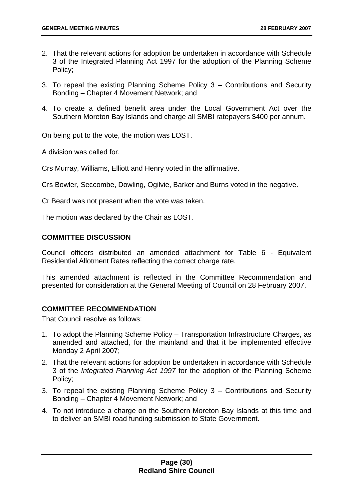- 2. That the relevant actions for adoption be undertaken in accordance with Schedule 3 of the Integrated Planning Act 1997 for the adoption of the Planning Scheme Policy;
- 3. To repeal the existing Planning Scheme Policy 3 Contributions and Security Bonding – Chapter 4 Movement Network; and
- 4. To create a defined benefit area under the Local Government Act over the Southern Moreton Bay Islands and charge all SMBI ratepayers \$400 per annum.

On being put to the vote, the motion was LOST.

A division was called for.

Crs Murray, Williams, Elliott and Henry voted in the affirmative.

Crs Bowler, Seccombe, Dowling, Ogilvie, Barker and Burns voted in the negative.

Cr Beard was not present when the vote was taken.

The motion was declared by the Chair as LOST.

#### **COMMITTEE DISCUSSION**

Council officers distributed an amended attachment for Table 6 - Equivalent Residential Allotment Rates reflecting the correct charge rate.

This amended attachment is reflected in the Committee Recommendation and presented for consideration at the General Meeting of Council on 28 February 2007.

#### **COMMITTEE RECOMMENDATION**

That Council resolve as follows:

- 1. To adopt the Planning Scheme Policy Transportation Infrastructure Charges, as amended and attached, for the mainland and that it be implemented effective Monday 2 April 2007;
- 2. That the relevant actions for adoption be undertaken in accordance with Schedule 3 of the *Integrated Planning Act 1997* for the adoption of the Planning Scheme Policy;
- 3. To repeal the existing Planning Scheme Policy 3 Contributions and Security Bonding – Chapter 4 Movement Network; and
- 4. To not introduce a charge on the Southern Moreton Bay Islands at this time and to deliver an SMBI road funding submission to State Government.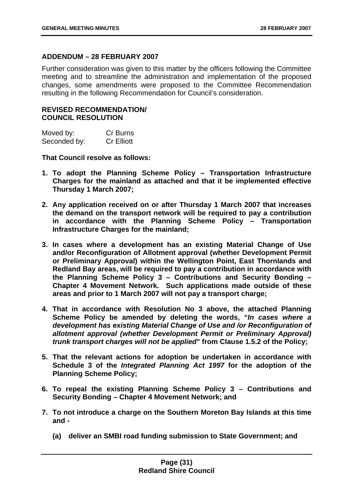#### **ADDENDUM – 28 FEBRUARY 2007**

Further consideration was given to this matter by the officers following the Committee meeting and to streamline the administration and implementation of the proposed changes, some amendments were proposed to the Committee Recommendation resulting in the following Recommendation for Council's consideration.

#### **REVISED RECOMMENDATION/ COUNCIL RESOLUTION**

| Moved by:    | <b>Cr Burns</b>   |
|--------------|-------------------|
| Seconded by: | <b>Cr Elliott</b> |

**That Council resolve as follows:** 

- **1. To adopt the Planning Scheme Policy Transportation Infrastructure Charges for the mainland as attached and that it be implemented effective Thursday 1 March 2007;**
- **2. Any application received on or after Thursday 1 March 2007 that increases the demand on the transport network will be required to pay a contribution in accordance with the Planning Scheme Policy – Transportation Infrastructure Charges for the mainland;**
- **3. In cases where a development has an existing Material Change of Use and/or Reconfiguration of Allotment approval (whether Development Permit or Preliminary Approval) within the Wellington Point, East Thornlands and Redland Bay areas, will be required to pay a contribution in accordance with the Planning Scheme Policy 3 – Contributions and Security Bonding – Chapter 4 Movement Network. Such applications made outside of these areas and prior to 1 March 2007 will not pay a transport charge;**
- **4. That in accordance with Resolution No 3 above, the attached Planning Scheme Policy be amended by deleting the words, "***In cases where a development has existing Material Change of Use and /or Reconfiguration of allotment approval (whether Development Permit or Preliminary Approval) trunk transport charges will not be applied***" from Clause 1.5.2 of the Policy;**
- **5. That the relevant actions for adoption be undertaken in accordance with Schedule 3 of the** *Integrated Planning Act 1997* **for the adoption of the Planning Scheme Policy;**
- **6. To repeal the existing Planning Scheme Policy 3 Contributions and Security Bonding – Chapter 4 Movement Network; and**
- **7. To not introduce a charge on the Southern Moreton Bay Islands at this time and -** 
	- **(a) deliver an SMBI road funding submission to State Government; and**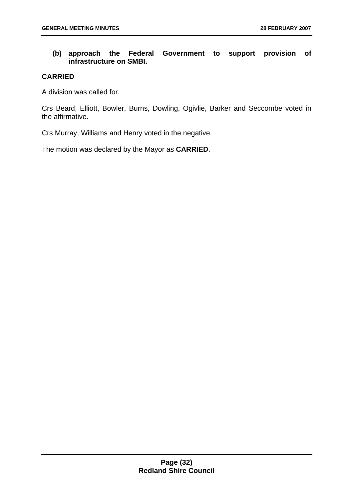#### **(b) approach the Federal Government to support provision of infrastructure on SMBI.**

#### **CARRIED**

A division was called for.

Crs Beard, Elliott, Bowler, Burns, Dowling, Ogivlie, Barker and Seccombe voted in the affirmative.

Crs Murray, Williams and Henry voted in the negative.

The motion was declared by the Mayor as **CARRIED**.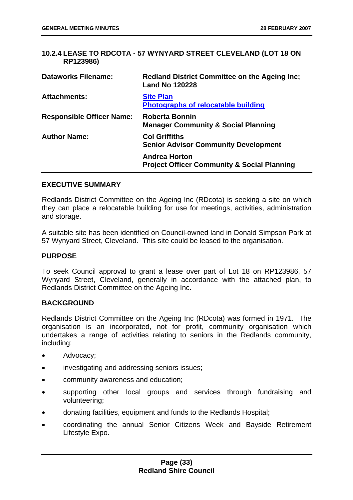#### **10.2.4 LEASE TO RDCOTA - 57 WYNYARD STREET CLEVELAND (LOT 18 ON RP123986)**

| <b>Dataworks Filename:</b>       | <b>Redland District Committee on the Ageing Inc;</b><br><b>Land No 120228</b>  |
|----------------------------------|--------------------------------------------------------------------------------|
| <b>Attachments:</b>              | <b>Site Plan</b><br><b>Photographs of relocatable building</b>                 |
| <b>Responsible Officer Name:</b> | <b>Roberta Bonnin</b><br><b>Manager Community &amp; Social Planning</b>        |
| <b>Author Name:</b>              | <b>Col Griffiths</b><br><b>Senior Advisor Community Development</b>            |
|                                  | <b>Andrea Horton</b><br><b>Project Officer Community &amp; Social Planning</b> |

#### **EXECUTIVE SUMMARY**

Redlands District Committee on the Ageing Inc (RDcota) is seeking a site on which they can place a relocatable building for use for meetings, activities, administration and storage.

A suitable site has been identified on Council-owned land in Donald Simpson Park at 57 Wynyard Street, Cleveland. This site could be leased to the organisation.

#### **PURPOSE**

To seek Council approval to grant a lease over part of Lot 18 on RP123986, 57 Wynyard Street, Cleveland, generally in accordance with the attached plan, to Redlands District Committee on the Ageing Inc.

#### **BACKGROUND**

Redlands District Committee on the Ageing Inc (RDcota) was formed in 1971. The organisation is an incorporated, not for profit, community organisation which undertakes a range of activities relating to seniors in the Redlands community, including:

- Advocacy;
- investigating and addressing seniors issues;
- community awareness and education;
- supporting other local groups and services through fundraising and volunteering;
- donating facilities, equipment and funds to the Redlands Hospital;
- coordinating the annual Senior Citizens Week and Bayside Retirement Lifestyle Expo.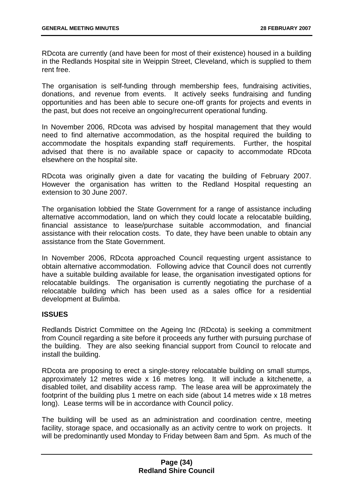RDcota are currently (and have been for most of their existence) housed in a building in the Redlands Hospital site in Weippin Street, Cleveland, which is supplied to them rent free.

The organisation is self-funding through membership fees, fundraising activities, donations, and revenue from events. It actively seeks fundraising and funding opportunities and has been able to secure one-off grants for projects and events in the past, but does not receive an ongoing/recurrent operational funding.

In November 2006, RDcota was advised by hospital management that they would need to find alternative accommodation, as the hospital required the building to accommodate the hospitals expanding staff requirements. Further, the hospital advised that there is no available space or capacity to accommodate RDcota elsewhere on the hospital site.

RDcota was originally given a date for vacating the building of February 2007. However the organisation has written to the Redland Hospital requesting an extension to 30 June 2007.

The organisation lobbied the State Government for a range of assistance including alternative accommodation, land on which they could locate a relocatable building, financial assistance to lease/purchase suitable accommodation, and financial assistance with their relocation costs. To date, they have been unable to obtain any assistance from the State Government.

In November 2006, RDcota approached Council requesting urgent assistance to obtain alternative accommodation. Following advice that Council does not currently have a suitable building available for lease, the organisation investigated options for relocatable buildings. The organisation is currently negotiating the purchase of a relocatable building which has been used as a sales office for a residential development at Bulimba.

#### **ISSUES**

Redlands District Committee on the Ageing Inc (RDcota) is seeking a commitment from Council regarding a site before it proceeds any further with pursuing purchase of the building. They are also seeking financial support from Council to relocate and install the building.

RDcota are proposing to erect a single-storey relocatable building on small stumps, approximately 12 metres wide x 16 metres long. It will include a kitchenette, a disabled toilet, and disability access ramp. The lease area will be approximately the footprint of the building plus 1 metre on each side (about 14 metres wide x 18 metres long). Lease terms will be in accordance with Council policy.

The building will be used as an administration and coordination centre, meeting facility, storage space, and occasionally as an activity centre to work on projects. It will be predominantly used Monday to Friday between 8am and 5pm. As much of the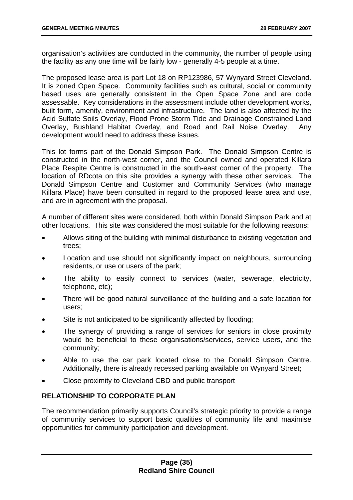organisation's activities are conducted in the community, the number of people using the facility as any one time will be fairly low - generally 4-5 people at a time.

The proposed lease area is part Lot 18 on RP123986, 57 Wynyard Street Cleveland. It is zoned Open Space. Community facilities such as cultural, social or community based uses are generally consistent in the Open Space Zone and are code assessable. Key considerations in the assessment include other development works, built form, amenity, environment and infrastructure. The land is also affected by the Acid Sulfate Soils Overlay, Flood Prone Storm Tide and Drainage Constrained Land Overlay, Bushland Habitat Overlay, and Road and Rail Noise Overlay. Any development would need to address these issues.

This lot forms part of the Donald Simpson Park. The Donald Simpson Centre is constructed in the north-west corner, and the Council owned and operated Killara Place Respite Centre is constructed in the south-east corner of the property. The location of RDcota on this site provides a synergy with these other services. The Donald Simpson Centre and Customer and Community Services (who manage Killara Place) have been consulted in regard to the proposed lease area and use, and are in agreement with the proposal.

A number of different sites were considered, both within Donald Simpson Park and at other locations. This site was considered the most suitable for the following reasons:

- Allows siting of the building with minimal disturbance to existing vegetation and trees;
- Location and use should not significantly impact on neighbours, surrounding residents, or use or users of the park;
- The ability to easily connect to services (water, sewerage, electricity, telephone, etc);
- There will be good natural surveillance of the building and a safe location for users;
- Site is not anticipated to be significantly affected by flooding;
- The synergy of providing a range of services for seniors in close proximity would be beneficial to these organisations/services, service users, and the community;
- Able to use the car park located close to the Donald Simpson Centre. Additionally, there is already recessed parking available on Wynyard Street;
- Close proximity to Cleveland CBD and public transport

#### **RELATIONSHIP TO CORPORATE PLAN**

The recommendation primarily supports Council's strategic priority to provide a range of community services to support basic qualities of community life and maximise opportunities for community participation and development.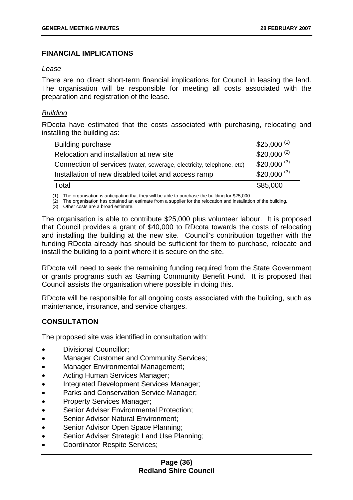# **FINANCIAL IMPLICATIONS**

## *Lease*

There are no direct short-term financial implications for Council in leasing the land. The organisation will be responsible for meeting all costs associated with the preparation and registration of the lease.

## *Building*

RDcota have estimated that the costs associated with purchasing, relocating and installing the building as:

| Building purchase                                                     | $$25,000^{(1)}$ |
|-----------------------------------------------------------------------|-----------------|
| Relocation and installation at new site                               | $$20,000^{(2)}$ |
| Connection of services (water, sewerage, electricity, telephone, etc) | $$20,000^{(3)}$ |
| Installation of new disabled toilet and access ramp                   | $$20,000^{(3)}$ |
| Total                                                                 | \$85,000        |

(1) The organisation is anticipating that they will be able to purchase the building for \$25,000.

(2) The organisation has obtained an estimate from a supplier for the relocation and installation of the building.

(3) Other costs are a broad estimate.

The organisation is able to contribute \$25,000 plus volunteer labour. It is proposed that Council provides a grant of \$40,000 to RDcota towards the costs of relocating and installing the building at the new site. Council's contribution together with the funding RDcota already has should be sufficient for them to purchase, relocate and install the building to a point where it is secure on the site.

RDcota will need to seek the remaining funding required from the State Government or grants programs such as Gaming Community Benefit Fund. It is proposed that Council assists the organisation where possible in doing this.

RDcota will be responsible for all ongoing costs associated with the building, such as maintenance, insurance, and service charges.

# **CONSULTATION**

The proposed site was identified in consultation with:

- Divisional Councillor;
- Manager Customer and Community Services;
- Manager Environmental Management;
- Acting Human Services Manager;
- Integrated Development Services Manager;
- Parks and Conservation Service Manager;
- Property Services Manager;
- Senior Adviser Environmental Protection;
- Senior Advisor Natural Environment;
- Senior Advisor Open Space Planning;
- Senior Adviser Strategic Land Use Planning;
- Coordinator Respite Services: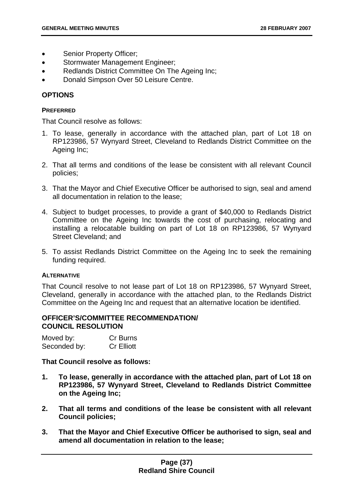- Senior Property Officer;
- Stormwater Management Engineer;
- Redlands District Committee On The Ageing Inc;
- Donald Simpson Over 50 Leisure Centre.

## **OPTIONS**

### **PREFERRED**

That Council resolve as follows:

- 1. To lease, generally in accordance with the attached plan, part of Lot 18 on RP123986, 57 Wynyard Street, Cleveland to Redlands District Committee on the Ageing Inc;
- 2. That all terms and conditions of the lease be consistent with all relevant Council policies;
- 3. That the Mayor and Chief Executive Officer be authorised to sign, seal and amend all documentation in relation to the lease;
- 4. Subject to budget processes, to provide a grant of \$40,000 to Redlands District Committee on the Ageing Inc towards the cost of purchasing, relocating and installing a relocatable building on part of Lot 18 on RP123986, 57 Wynyard Street Cleveland; and
- 5. To assist Redlands District Committee on the Ageing Inc to seek the remaining funding required.

## **ALTERNATIVE**

That Council resolve to not lease part of Lot 18 on RP123986, 57 Wynyard Street, Cleveland, generally in accordance with the attached plan, to the Redlands District Committee on the Ageing Inc and request that an alternative location be identified.

## **OFFICER'S/COMMITTEE RECOMMENDATION/ COUNCIL RESOLUTION**

| Moved by:    | Cr Burns          |
|--------------|-------------------|
| Seconded by: | <b>Cr Elliott</b> |

**That Council resolve as follows:** 

- **1. To lease, generally in accordance with the attached plan, part of Lot 18 on RP123986, 57 Wynyard Street, Cleveland to Redlands District Committee on the Ageing Inc;**
- **2. That all terms and conditions of the lease be consistent with all relevant Council policies;**
- **3. That the Mayor and Chief Executive Officer be authorised to sign, seal and amend all documentation in relation to the lease;**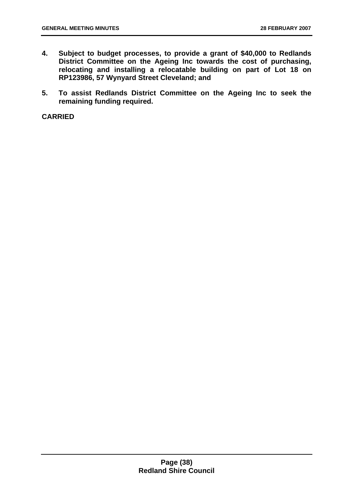- **4. Subject to budget processes, to provide a grant of \$40,000 to Redlands District Committee on the Ageing Inc towards the cost of purchasing, relocating and installing a relocatable building on part of Lot 18 on RP123986, 57 Wynyard Street Cleveland; and**
- **5. To assist Redlands District Committee on the Ageing Inc to seek the remaining funding required.**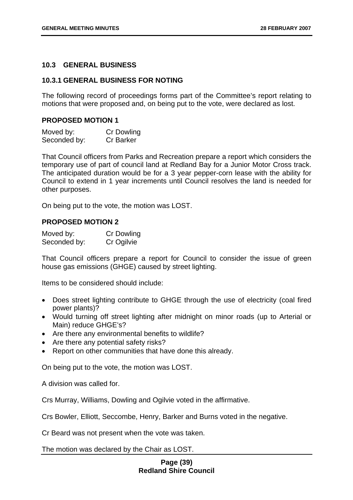## **10.3 GENERAL BUSINESS**

## **10.3.1 GENERAL BUSINESS FOR NOTING**

The following record of proceedings forms part of the Committee's report relating to motions that were proposed and, on being put to the vote, were declared as lost.

### **PROPOSED MOTION 1**

| Moved by:    | <b>Cr Dowling</b> |
|--------------|-------------------|
| Seconded by: | <b>Cr Barker</b>  |

That Council officers from Parks and Recreation prepare a report which considers the temporary use of part of council land at Redland Bay for a Junior Motor Cross track. The anticipated duration would be for a 3 year pepper-corn lease with the ability for Council to extend in 1 year increments until Council resolves the land is needed for other purposes.

On being put to the vote, the motion was LOST.

## **PROPOSED MOTION 2**

| Moved by:    | <b>Cr Dowling</b> |
|--------------|-------------------|
| Seconded by: | Cr Ogilvie        |

That Council officers prepare a report for Council to consider the issue of green house gas emissions (GHGE) caused by street lighting.

Items to be considered should include:

- Does street lighting contribute to GHGE through the use of electricity (coal fired power plants)?
- Would turning off street lighting after midnight on minor roads (up to Arterial or Main) reduce GHGE's?
- Are there any environmental benefits to wildlife?
- Are there any potential safety risks?
- Report on other communities that have done this already.

On being put to the vote, the motion was LOST.

A division was called for.

Crs Murray, Williams, Dowling and Ogilvie voted in the affirmative.

Crs Bowler, Elliott, Seccombe, Henry, Barker and Burns voted in the negative.

Cr Beard was not present when the vote was taken.

The motion was declared by the Chair as LOST.

## **Page (39) Redland Shire Council**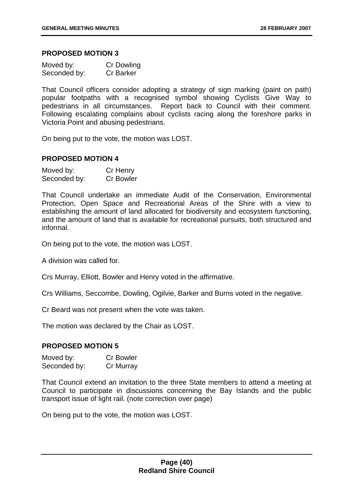### **PROPOSED MOTION 3**

| Moved by:    | <b>Cr Dowling</b> |
|--------------|-------------------|
| Seconded by: | <b>Cr Barker</b>  |

That Council officers consider adopting a strategy of sign marking (paint on path) popular footpaths with a recognised symbol showing Cyclists Give Way to pedestrians in all circumstances. Report back to Council with their comment. Following escalating complains about cyclists racing along the foreshore parks in Victoria Point and abusing pedestrians.

On being put to the vote, the motion was LOST.

## **PROPOSED MOTION 4**

| Moved by:    | Cr Henry         |
|--------------|------------------|
| Seconded by: | <b>Cr Bowler</b> |

That Council undertake an immediate Audit of the Conservation, Environmental Protection, Open Space and Recreational Areas of the Shire with a view to establishing the amount of land allocated for biodiversity and ecosystem functioning, and the amount of land that is available for recreational pursuits, both structured and informal.

On being put to the vote, the motion was LOST.

A division was called for.

Crs Murray, Elliott, Bowler and Henry voted in the affirmative.

Crs Williams, Seccombe, Dowling, Ogilvie, Barker and Burns voted in the negative.

Cr Beard was not present when the vote was taken.

The motion was declared by the Chair as LOST.

#### **PROPOSED MOTION 5**

| Moved by:    | <b>Cr Bowler</b> |
|--------------|------------------|
| Seconded by: | Cr Murray        |

That Council extend an invitation to the three State members to attend a meeting at Council to participate in discussions concerning the Bay Islands and the public transport issue of light rail. (note correction over page)

On being put to the vote, the motion was LOST.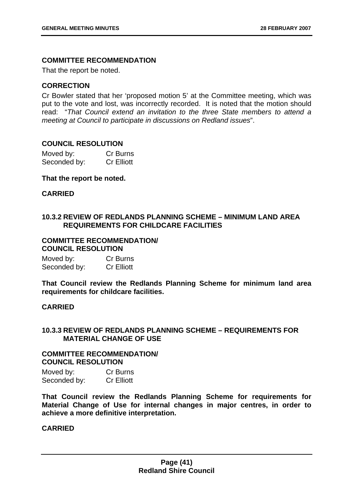## **COMMITTEE RECOMMENDATION**

That the report be noted.

## **CORRECTION**

Cr Bowler stated that her 'proposed motion 5' at the Committee meeting, which was put to the vote and lost, was incorrectly recorded. It is noted that the motion should read: "*That Council extend an invitation to the three State members to attend a meeting at Council to participate in discussions on Redland issues*".

## **COUNCIL RESOLUTION**

| Moved by:    | Cr Burns          |
|--------------|-------------------|
| Seconded by: | <b>Cr Elliott</b> |

## **That the report be noted.**

## **CARRIED**

# **10.3.2 REVIEW OF REDLANDS PLANNING SCHEME – MINIMUM LAND AREA REQUIREMENTS FOR CHILDCARE FACILITIES**

#### **COMMITTEE RECOMMENDATION/ COUNCIL RESOLUTION**

| Moved by:    | Cr Burns          |
|--------------|-------------------|
| Seconded by: | <b>Cr Elliott</b> |

**That Council review the Redlands Planning Scheme for minimum land area requirements for childcare facilities.** 

## **CARRIED**

## **10.3.3 REVIEW OF REDLANDS PLANNING SCHEME – REQUIREMENTS FOR MATERIAL CHANGE OF USE**

#### **COMMITTEE RECOMMENDATION/ COUNCIL RESOLUTION**

Moved by: Cr Burns Seconded by: Cr Elliott

**That Council review the Redlands Planning Scheme for requirements for Material Change of Use for internal changes in major centres, in order to achieve a more definitive interpretation.**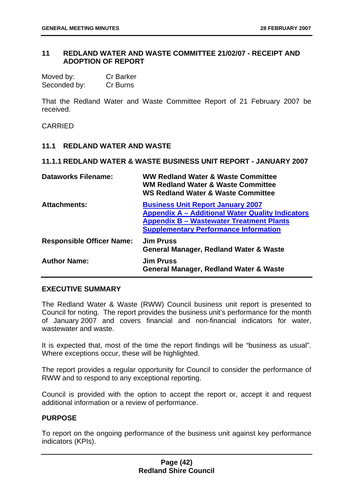## **11 REDLAND WATER AND WASTE COMMITTEE 21/02/07 - RECEIPT AND ADOPTION OF REPORT**

| Moved by:    | <b>Cr Barker</b> |
|--------------|------------------|
| Seconded by: | Cr Burns         |

That the Redland Water and Waste Committee Report of 21 February 2007 be received.

### CARRIED

## **11.1 REDLAND WATER AND WASTE**

### **11.1.1 REDLAND WATER & WASTE BUSINESS UNIT REPORT - JANUARY 2007**

| <b>Dataworks Filename:</b>       | WW Redland Water & Waste Committee<br><b>WM Redland Water &amp; Waste Committee</b><br><b>WS Redland Water &amp; Waste Committee</b>                                                                   |
|----------------------------------|--------------------------------------------------------------------------------------------------------------------------------------------------------------------------------------------------------|
| <b>Attachments:</b>              | <b>Business Unit Report January 2007</b><br><b>Appendix A - Additional Water Quality Indicators</b><br><b>Appendix B - Wastewater Treatment Plants</b><br><b>Supplementary Performance Information</b> |
| <b>Responsible Officer Name:</b> | <b>Jim Pruss</b><br>General Manager, Redland Water & Waste                                                                                                                                             |
| <b>Author Name:</b>              | <b>Jim Pruss</b><br>General Manager, Redland Water & Waste                                                                                                                                             |

## **EXECUTIVE SUMMARY**

The Redland Water & Waste (RWW) Council business unit report is presented to Council for noting. The report provides the business unit's performance for the month of January 2007 and covers financial and non-financial indicators for water, wastewater and waste.

It is expected that, most of the time the report findings will be "business as usual". Where exceptions occur, these will be highlighted.

The report provides a regular opportunity for Council to consider the performance of RWW and to respond to any exceptional reporting.

Council is provided with the option to accept the report or, accept it and request additional information or a review of performance.

## **PURPOSE**

To report on the ongoing performance of the business unit against key performance indicators (KPIs).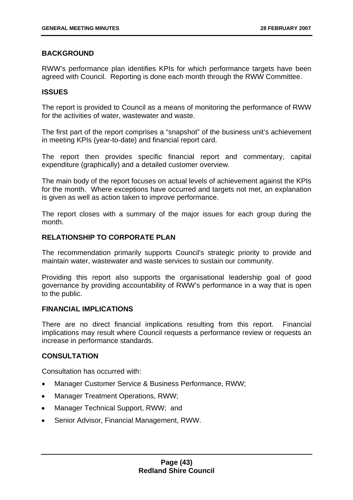# **BACKGROUND**

RWW's performance plan identifies KPIs for which performance targets have been agreed with Council. Reporting is done each month through the RWW Committee.

## **ISSUES**

The report is provided to Council as a means of monitoring the performance of RWW for the activities of water, wastewater and waste.

The first part of the report comprises a "snapshot" of the business unit's achievement in meeting KPIs (year-to-date) and financial report card.

The report then provides specific financial report and commentary, capital expenditure (graphically) and a detailed customer overview.

The main body of the report focuses on actual levels of achievement against the KPIs for the month. Where exceptions have occurred and targets not met, an explanation is given as well as action taken to improve performance.

The report closes with a summary of the major issues for each group during the month.

# **RELATIONSHIP TO CORPORATE PLAN**

The recommendation primarily supports Council's strategic priority to provide and maintain water, wastewater and waste services to sustain our community.

Providing this report also supports the organisational leadership goal of good governance by providing accountability of RWW's performance in a way that is open to the public.

## **FINANCIAL IMPLICATIONS**

There are no direct financial implications resulting from this report. Financial implications may result where Council requests a performance review or requests an increase in performance standards.

## **CONSULTATION**

Consultation has occurred with:

- Manager Customer Service & Business Performance, RWW;
- Manager Treatment Operations, RWW;
- Manager Technical Support, RWW; and
- Senior Advisor, Financial Management, RWW.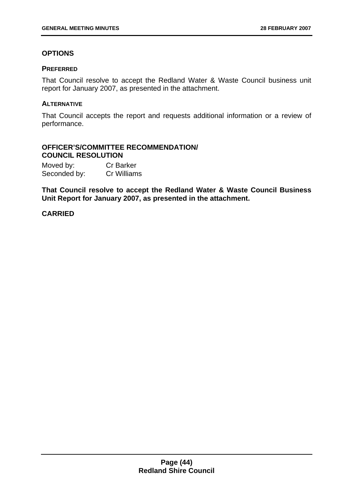# **OPTIONS**

## **PREFERRED**

That Council resolve to accept the Redland Water & Waste Council business unit report for January 2007, as presented in the attachment.

## **ALTERNATIVE**

That Council accepts the report and requests additional information or a review of performance.

## **OFFICER'S/COMMITTEE RECOMMENDATION/ COUNCIL RESOLUTION**

| Moved by:    | <b>Cr Barker</b> |
|--------------|------------------|
| Seconded by: | Cr Williams      |

**That Council resolve to accept the Redland Water & Waste Council Business Unit Report for January 2007, as presented in the attachment.**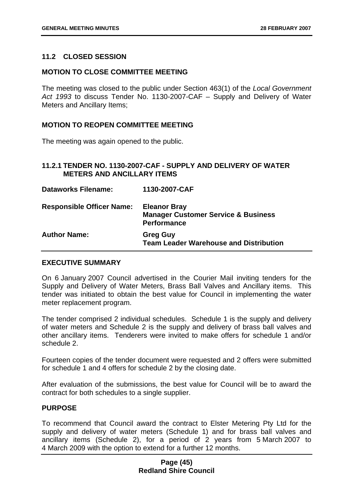## **11.2 CLOSED SESSION**

## **MOTION TO CLOSE COMMITTEE MEETING**

The meeting was closed to the public under Section 463(1) of the *Local Government Act 1993* to discuss Tender No. 1130-2007-CAF – Supply and Delivery of Water Meters and Ancillary Items;

## **MOTION TO REOPEN COMMITTEE MEETING**

The meeting was again opened to the public.

## **11.2.1 TENDER NO. 1130-2007-CAF - SUPPLY AND DELIVERY OF WATER METERS AND ANCILLARY ITEMS**

| <b>Dataworks Filename:</b>       | 1130-2007-CAF                                                                               |
|----------------------------------|---------------------------------------------------------------------------------------------|
| <b>Responsible Officer Name:</b> | <b>Eleanor Bray</b><br><b>Manager Customer Service &amp; Business</b><br><b>Performance</b> |
| <b>Author Name:</b>              | <b>Greg Guy</b><br><b>Team Leader Warehouse and Distribution</b>                            |

## **EXECUTIVE SUMMARY**

On 6 January 2007 Council advertised in the Courier Mail inviting tenders for the Supply and Delivery of Water Meters, Brass Ball Valves and Ancillary items. This tender was initiated to obtain the best value for Council in implementing the water meter replacement program.

The tender comprised 2 individual schedules. Schedule 1 is the supply and delivery of water meters and Schedule 2 is the supply and delivery of brass ball valves and other ancillary items. Tenderers were invited to make offers for schedule 1 and/or schedule 2.

Fourteen copies of the tender document were requested and 2 offers were submitted for schedule 1 and 4 offers for schedule 2 by the closing date.

After evaluation of the submissions, the best value for Council will be to award the contract for both schedules to a single supplier.

# **PURPOSE**

To recommend that Council award the contract to Elster Metering Pty Ltd for the supply and delivery of water meters (Schedule 1) and for brass ball valves and ancillary items (Schedule 2), for a period of 2 years from 5 March 2007 to 4 March 2009 with the option to extend for a further 12 months.

## **Page (45) Redland Shire Council**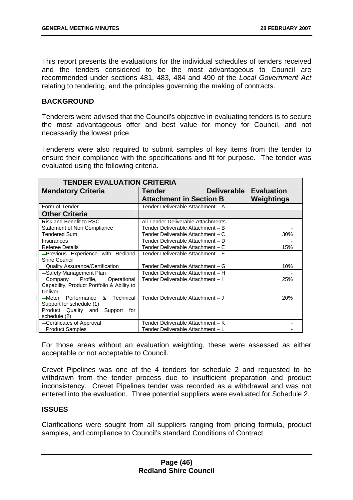This report presents the evaluations for the individual schedules of tenders received and the tenders considered to be the most advantageous to Council are recommended under sections 481, 483, 484 and 490 of the *Local Government Act* relating to tendering, and the principles governing the making of contracts.

## **BACKGROUND**

Tenderers were advised that the Council's objective in evaluating tenders is to secure the most advantageous offer and best value for money for Council, and not necessarily the lowest price.

Tenderers were also required to submit samples of key items from the tender to ensure their compliance with the specifications and fit for purpose. The tender was evaluated using the following criteria.

| <b>TENDER EVALUATION CRITERIA</b>          |                                     |                   |
|--------------------------------------------|-------------------------------------|-------------------|
| <b>Mandatory Criteria</b>                  | <b>Deliverable</b><br>Tender        | <b>Evaluation</b> |
|                                            | <b>Attachment in Section B</b>      | Weightings        |
| Form of Tender                             | Tender Deliverable Attachment - A   |                   |
| <b>Other Criteria</b>                      |                                     |                   |
| Risk and Benefit to RSC                    | All Tender Deliverable Attachments. |                   |
| Statement of Non Compliance                | Tender Deliverable Attachment - B   |                   |
| <b>Tendered Sum</b>                        | Tender Deliverable Attachment – C   | 30%               |
| Insurances                                 | Tender Deliverable Attachment – D   |                   |
| <b>Referee Details</b>                     | Tender Deliverable Attachment – E   | 15%               |
| -Previous Experience with Redland          | Tender Deliverable Attachment – F   |                   |
| Shire Council                              |                                     |                   |
| -Quality Assurance/Certification           | Tender Deliverable Attachment – G   | 10%               |
| -Safety Management Plan                    | Tender Deliverable Attachment - H   |                   |
| Profile, Operational<br>—Company           | Tender Deliverable Attachment - I   | 25%               |
| Capability, Product Portfolio & Ability to |                                     |                   |
| <b>Deliver</b>                             |                                     |                   |
| Performance<br>Technical<br>—Meter<br>&    | Tender Deliverable Attachment - J   | 20%               |
| Support for schedule (1)                   |                                     |                   |
| Product Quality and<br>Support<br>for      |                                     |                   |
| schedule (2)                               |                                     |                   |
| -Certificates of Approval                  | Tender Deliverable Attachment - K   | -                 |
| -Product Samples                           | Tender Deliverable Attachment - L   |                   |

For those areas without an evaluation weighting, these were assessed as either acceptable or not acceptable to Council.

Crevet Pipelines was one of the 4 tenders for schedule 2 and requested to be withdrawn from the tender process due to insufficient preparation and product inconsistency. Crevet Pipelines tender was recorded as a withdrawal and was not entered into the evaluation. Three potential suppliers were evaluated for Schedule 2.

## **ISSUES**

Clarifications were sought from all suppliers ranging from pricing formula, product samples, and compliance to Council's standard Conditions of Contract.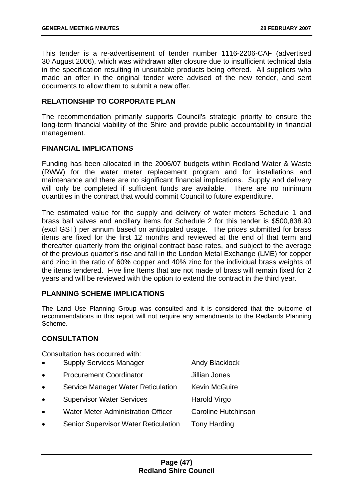This tender is a re-advertisement of tender number 1116-2206-CAF (advertised 30 August 2006), which was withdrawn after closure due to insufficient technical data in the specification resulting in unsuitable products being offered. All suppliers who made an offer in the original tender were advised of the new tender, and sent documents to allow them to submit a new offer.

## **RELATIONSHIP TO CORPORATE PLAN**

The recommendation primarily supports Council's strategic priority to ensure the long-term financial viability of the Shire and provide public accountability in financial management.

## **FINANCIAL IMPLICATIONS**

Funding has been allocated in the 2006/07 budgets within Redland Water & Waste (RWW) for the water meter replacement program and for installations and maintenance and there are no significant financial implications. Supply and delivery will only be completed if sufficient funds are available. There are no minimum quantities in the contract that would commit Council to future expenditure.

The estimated value for the supply and delivery of water meters Schedule 1 and brass ball valves and ancillary items for Schedule 2 for this tender is \$500,838.90 (excl GST) per annum based on anticipated usage. The prices submitted for brass items are fixed for the first 12 months and reviewed at the end of that term and thereafter quarterly from the original contract base rates, and subject to the average of the previous quarter's rise and fall in the London Metal Exchange (LME) for copper and zinc in the ratio of 60% copper and 40% zinc for the individual brass weights of the items tendered. Five line Items that are not made of brass will remain fixed for 2 years and will be reviewed with the option to extend the contract in the third year.

## **PLANNING SCHEME IMPLICATIONS**

The Land Use Planning Group was consulted and it is considered that the outcome of recommendations in this report will not require any amendments to the Redlands Planning Scheme.

## **CONSULTATION**

Consultation has occurred with:

| $\bullet$ | <b>Supply Services Manager</b>              | <b>Andy Blacklock</b> |
|-----------|---------------------------------------------|-----------------------|
| $\bullet$ | <b>Procurement Coordinator</b>              | <b>Jillian Jones</b>  |
| $\bullet$ | Service Manager Water Reticulation          | <b>Kevin McGuire</b>  |
| $\bullet$ | <b>Supervisor Water Services</b>            | Harold Virgo          |
| $\bullet$ | <b>Water Meter Administration Officer</b>   | Caroline Hutchinson   |
| $\bullet$ | <b>Senior Supervisor Water Reticulation</b> | <b>Tony Harding</b>   |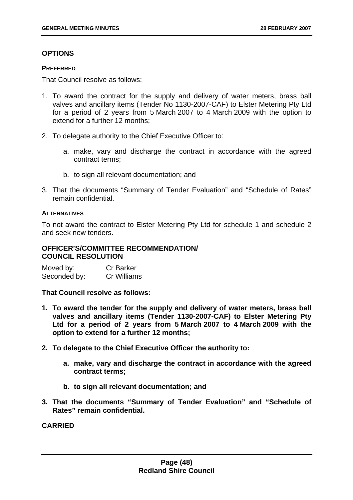# **OPTIONS**

## **PREFERRED**

That Council resolve as follows:

- 1. To award the contract for the supply and delivery of water meters, brass ball valves and ancillary items (Tender No 1130-2007-CAF) to Elster Metering Pty Ltd for a period of 2 years from 5 March 2007 to 4 March 2009 with the option to extend for a further 12 months:
- 2. To delegate authority to the Chief Executive Officer to:
	- a. make, vary and discharge the contract in accordance with the agreed contract terms;
	- b. to sign all relevant documentation; and
- 3. That the documents "Summary of Tender Evaluation" and "Schedule of Rates" remain confidential.

## **ALTERNATIVES**

To not award the contract to Elster Metering Pty Ltd for schedule 1 and schedule 2 and seek new tenders.

## **OFFICER'S/COMMITTEE RECOMMENDATION/ COUNCIL RESOLUTION**

| Moved by:    | <b>Cr Barker</b> |
|--------------|------------------|
| Seconded by: | Cr Williams      |

**That Council resolve as follows:** 

- **1. To award the tender for the supply and delivery of water meters, brass ball valves and ancillary items (Tender 1130-2007-CAF) to Elster Metering Pty Ltd for a period of 2 years from 5 March 2007 to 4 March 2009 with the option to extend for a further 12 months;**
- **2. To delegate to the Chief Executive Officer the authority to:** 
	- **a. make, vary and discharge the contract in accordance with the agreed contract terms;**
	- **b. to sign all relevant documentation; and**
- **3. That the documents "Summary of Tender Evaluation" and "Schedule of Rates" remain confidential.**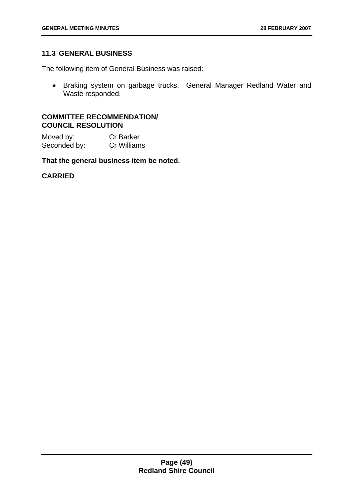## **11.3 GENERAL BUSINESS**

The following item of General Business was raised:

• Braking system on garbage trucks. General Manager Redland Water and Waste responded.

### **COMMITTEE RECOMMENDATION/ COUNCIL RESOLUTION**

Moved by: Cr Barker Seconded by: Cr Williams

**That the general business item be noted.**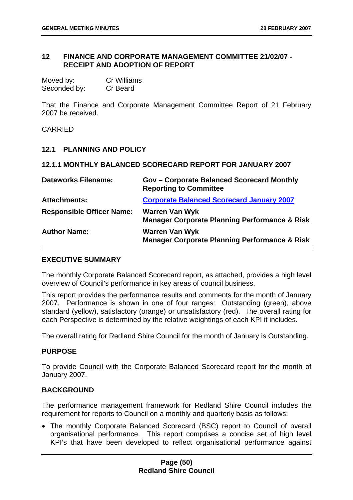## **12 FINANCE AND CORPORATE MANAGEMENT COMMITTEE 21/02/07 - RECEIPT AND ADOPTION OF REPORT**

| Moved by:    | <b>Cr Williams</b> |
|--------------|--------------------|
| Seconded by: | Cr Beard           |

That the Finance and Corporate Management Committee Report of 21 February 2007 be received.

**CARRIED** 

## **12.1 PLANNING AND POLICY**

### **12.1.1 MONTHLY BALANCED SCORECARD REPORT FOR JANUARY 2007**

| <b>Dataworks Filename:</b>       | <b>Gov - Corporate Balanced Scorecard Monthly</b><br><b>Reporting to Committee</b> |
|----------------------------------|------------------------------------------------------------------------------------|
| <b>Attachments:</b>              | <b>Corporate Balanced Scorecard January 2007</b>                                   |
| <b>Responsible Officer Name:</b> | <b>Warren Van Wyk</b><br><b>Manager Corporate Planning Performance &amp; Risk</b>  |
| <b>Author Name:</b>              | <b>Warren Van Wyk</b><br><b>Manager Corporate Planning Performance &amp; Risk</b>  |

## **EXECUTIVE SUMMARY**

The monthly Corporate Balanced Scorecard report, as attached, provides a high level overview of Council's performance in key areas of council business.

This report provides the performance results and comments for the month of January 2007. Performance is shown in one of four ranges: Outstanding (green), above standard (yellow), satisfactory (orange) or unsatisfactory (red). The overall rating for each Perspective is determined by the relative weightings of each KPI it includes.

The overall rating for Redland Shire Council for the month of January is Outstanding.

## **PURPOSE**

To provide Council with the Corporate Balanced Scorecard report for the month of January 2007.

## **BACKGROUND**

The performance management framework for Redland Shire Council includes the requirement for reports to Council on a monthly and quarterly basis as follows:

• The monthly Corporate Balanced Scorecard (BSC) report to Council of overall organisational performance. This report comprises a concise set of high level KPI's that have been developed to reflect organisational performance against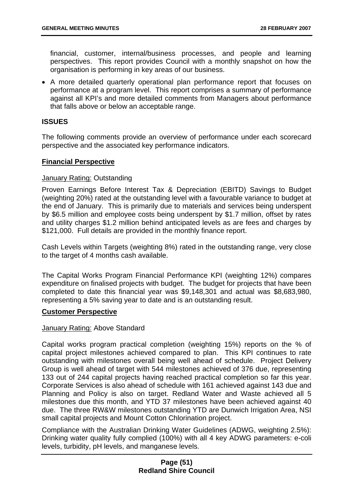financial, customer, internal/business processes, and people and learning perspectives. This report provides Council with a monthly snapshot on how the organisation is performing in key areas of our business.

• A more detailed quarterly operational plan performance report that focuses on performance at a program level. This report comprises a summary of performance against all KPI's and more detailed comments from Managers about performance that falls above or below an acceptable range.

## **ISSUES**

The following comments provide an overview of performance under each scorecard perspective and the associated key performance indicators.

## **Financial Perspective**

## January Rating: Outstanding

Proven Earnings Before Interest Tax & Depreciation (EBITD) Savings to Budget (weighting 20%) rated at the outstanding level with a favourable variance to budget at the end of January. This is primarily due to materials and services being underspent by \$6.5 million and employee costs being underspent by \$1.7 million, offset by rates and utility charges \$1.2 million behind anticipated levels as are fees and charges by \$121,000. Full details are provided in the monthly finance report.

Cash Levels within Targets (weighting 8%) rated in the outstanding range, very close to the target of 4 months cash available.

The Capital Works Program Financial Performance KPI (weighting 12%) compares expenditure on finalised projects with budget. The budget for projects that have been completed to date this financial year was \$9,148,301 and actual was \$8,683,980, representing a 5% saving year to date and is an outstanding result.

## **Customer Perspective**

## January Rating: Above Standard

Capital works program practical completion (weighting 15%) reports on the % of capital project milestones achieved compared to plan. This KPI continues to rate outstanding with milestones overall being well ahead of schedule. Project Delivery Group is well ahead of target with 544 milestones achieved of 376 due, representing 133 out of 244 capital projects having reached practical completion so far this year. Corporate Services is also ahead of schedule with 161 achieved against 143 due and Planning and Policy is also on target. Redland Water and Waste achieved all 5 milestones due this month, and YTD 37 milestones have been achieved against 40 due. The three RW&W milestones outstanding YTD are Dunwich Irrigation Area, NSI small capital projects and Mount Cotton Chlorination project.

Compliance with the Australian Drinking Water Guidelines (ADWG, weighting 2.5%): Drinking water quality fully complied (100%) with all 4 key ADWG parameters: e-coli levels, turbidity, pH levels, and manganese levels.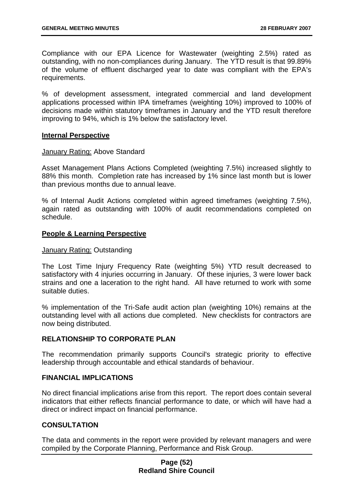Compliance with our EPA Licence for Wastewater (weighting 2.5%) rated as outstanding, with no non-compliances during January. The YTD result is that 99.89% of the volume of effluent discharged year to date was compliant with the EPA's requirements.

% of development assessment, integrated commercial and land development applications processed within IPA timeframes (weighting 10%) improved to 100% of decisions made within statutory timeframes in January and the YTD result therefore improving to 94%, which is 1% below the satisfactory level.

## **Internal Perspective**

### January Rating: Above Standard

Asset Management Plans Actions Completed (weighting 7.5%) increased slightly to 88% this month. Completion rate has increased by 1% since last month but is lower than previous months due to annual leave.

% of Internal Audit Actions completed within agreed timeframes (weighting 7.5%), again rated as outstanding with 100% of audit recommendations completed on schedule.

## **People & Learning Perspective**

#### January Rating: Outstanding

The Lost Time Injury Frequency Rate (weighting 5%) YTD result decreased to satisfactory with 4 injuries occurring in January. Of these injuries, 3 were lower back strains and one a laceration to the right hand. All have returned to work with some suitable duties.

% implementation of the Tri-Safe audit action plan (weighting 10%) remains at the outstanding level with all actions due completed. New checklists for contractors are now being distributed.

## **RELATIONSHIP TO CORPORATE PLAN**

The recommendation primarily supports Council's strategic priority to effective leadership through accountable and ethical standards of behaviour.

### **FINANCIAL IMPLICATIONS**

No direct financial implications arise from this report. The report does contain several indicators that either reflects financial performance to date, or which will have had a direct or indirect impact on financial performance.

## **CONSULTATION**

The data and comments in the report were provided by relevant managers and were compiled by the Corporate Planning, Performance and Risk Group.

## **Page (52) Redland Shire Council**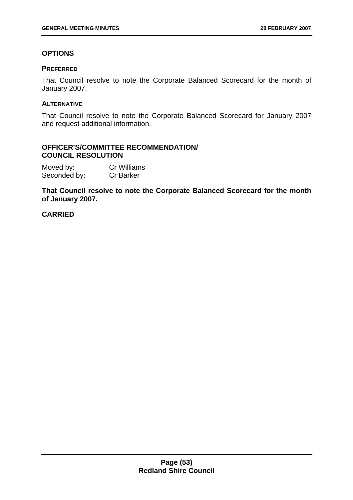## **OPTIONS**

### **PREFERRED**

That Council resolve to note the Corporate Balanced Scorecard for the month of January 2007.

### **ALTERNATIVE**

That Council resolve to note the Corporate Balanced Scorecard for January 2007 and request additional information.

## **OFFICER'S/COMMITTEE RECOMMENDATION/ COUNCIL RESOLUTION**

| Moved by:    | <b>Cr Williams</b> |
|--------------|--------------------|
| Seconded by: | <b>Cr Barker</b>   |

**That Council resolve to note the Corporate Balanced Scorecard for the month of January 2007.**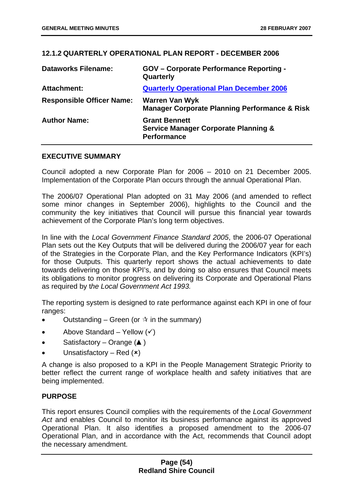## **12.1.2 QUARTERLY OPERATIONAL PLAN REPORT - DECEMBER 2006**

| <b>Dataworks Filename:</b>       | <b>GOV</b> – Corporate Performance Reporting -<br>Quarterly                                   |
|----------------------------------|-----------------------------------------------------------------------------------------------|
| Attachment:                      | <b>Quarterly Operational Plan December 2006</b>                                               |
| <b>Responsible Officer Name:</b> | <b>Warren Van Wyk</b><br><b>Manager Corporate Planning Performance &amp; Risk</b>             |
| <b>Author Name:</b>              | <b>Grant Bennett</b><br><b>Service Manager Corporate Planning &amp;</b><br><b>Performance</b> |

## **EXECUTIVE SUMMARY**

Council adopted a new Corporate Plan for 2006 – 2010 on 21 December 2005. Implementation of the Corporate Plan occurs through the annual Operational Plan.

The 2006/07 Operational Plan adopted on 31 May 2006 (and amended to reflect some minor changes in September 2006), highlights to the Council and the community the key initiatives that Council will pursue this financial year towards achievement of the Corporate Plan's long term objectives.

In line with the *Local Government Finance Standard 2005*, the 2006-07 Operational Plan sets out the Key Outputs that will be delivered during the 2006/07 year for each of the Strategies in the Corporate Plan, and the Key Performance Indicators (KPI's) for those Outputs. This quarterly report shows the actual achievements to date towards delivering on those KPI's, and by doing so also ensures that Council meets its obligations to monitor progress on delivering its Corporate and Operational Plans as required by t*he Local Government Act 1993.* 

The reporting system is designed to rate performance against each KPI in one of four ranges:

- Outstanding Green (or  $\dot{\mathbf{x}}$  in the summary)
- Above Standard Yellow  $(\checkmark)$
- Satisfactory Orange (▲)
- Unsatisfactory Red  $(x)$

A change is also proposed to a KPI in the People Management Strategic Priority to better reflect the current range of workplace health and safety initiatives that are being implemented.

## **PURPOSE**

This report ensures Council complies with the requirements of the *Local Government Act* and enables Council to monitor its business performance against its approved Operational Plan. It also identifies a proposed amendment to the 2006-07 Operational Plan, and in accordance with the Act, recommends that Council adopt the necessary amendment.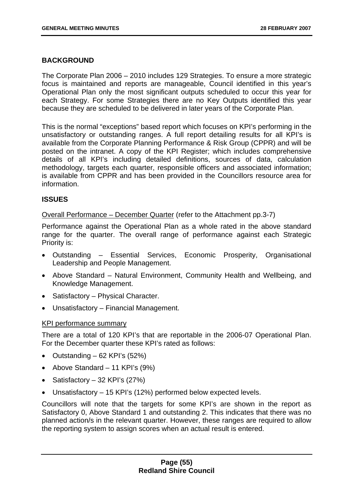## **BACKGROUND**

The Corporate Plan 2006 – 2010 includes 129 Strategies. To ensure a more strategic focus is maintained and reports are manageable, Council identified in this year's Operational Plan only the most significant outputs scheduled to occur this year for each Strategy. For some Strategies there are no Key Outputs identified this year because they are scheduled to be delivered in later years of the Corporate Plan.

This is the normal "exceptions" based report which focuses on KPI's performing in the unsatisfactory or outstanding ranges. A full report detailing results for all KPI's is available from the Corporate Planning Performance & Risk Group (CPPR) and will be posted on the intranet. A copy of the KPI Register; which includes comprehensive details of all KPI's including detailed definitions, sources of data, calculation methodology, targets each quarter, responsible officers and associated information; is available from CPPR and has been provided in the Councillors resource area for information.

## **ISSUES**

Overall Performance – December Quarter (refer to the Attachment pp.3-7)

Performance against the Operational Plan as a whole rated in the above standard range for the quarter. The overall range of performance against each Strategic Priority is:

- Outstanding Essential Services, Economic Prosperity, Organisational Leadership and People Management.
- Above Standard Natural Environment, Community Health and Wellbeing, and Knowledge Management.
- Satisfactory Physical Character.
- Unsatisfactory Financial Management.

## KPI performance summary

There are a total of 120 KPI's that are reportable in the 2006-07 Operational Plan. For the December quarter these KPI's rated as follows:

- Outstanding  $-62$  KPI's (52%)
- Above Standard 11 KPI's (9%)
- Satisfactory 32 KPI's (27%)
- Unsatisfactory 15 KPI's (12%) performed below expected levels.

Councillors will note that the targets for some KPI's are shown in the report as Satisfactory 0, Above Standard 1 and outstanding 2. This indicates that there was no planned action/s in the relevant quarter. However, these ranges are required to allow the reporting system to assign scores when an actual result is entered.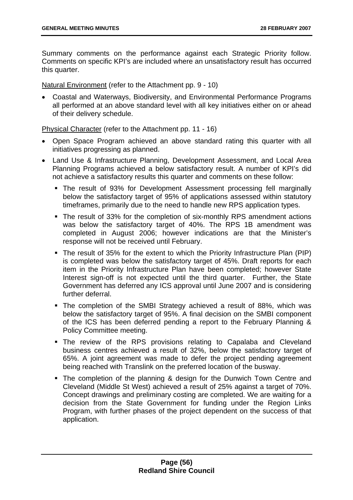Summary comments on the performance against each Strategic Priority follow. Comments on specific KPI's are included where an unsatisfactory result has occurred this quarter.

Natural Environment (refer to the Attachment pp. 9 - 10)

• Coastal and Waterways, Biodiversity, and Environmental Performance Programs all performed at an above standard level with all key initiatives either on or ahead of their delivery schedule.

Physical Character (refer to the Attachment pp. 11 - 16)

- Open Space Program achieved an above standard rating this quarter with all initiatives progressing as planned.
- Land Use & Infrastructure Planning, Development Assessment, and Local Area Planning Programs achieved a below satisfactory result. A number of KPI's did not achieve a satisfactory results this quarter and comments on these follow:
	- The result of 93% for Development Assessment processing fell marginally below the satisfactory target of 95% of applications assessed within statutory timeframes, primarily due to the need to handle new RPS application types.
	- The result of 33% for the completion of six-monthly RPS amendment actions was below the satisfactory target of 40%. The RPS 1B amendment was completed in August 2006; however indications are that the Minister's response will not be received until February.
	- The result of 35% for the extent to which the Priority Infrastructure Plan (PIP) is completed was below the satisfactory target of 45%. Draft reports for each item in the Priority Infrastructure Plan have been completed; however State Interest sign-off is not expected until the third quarter. Further, the State Government has deferred any ICS approval until June 2007 and is considering further deferral.
	- The completion of the SMBI Strategy achieved a result of 88%, which was below the satisfactory target of 95%. A final decision on the SMBI component of the ICS has been deferred pending a report to the February Planning & Policy Committee meeting.
	- The review of the RPS provisions relating to Capalaba and Cleveland business centres achieved a result of 32%, below the satisfactory target of 65%. A joint agreement was made to defer the project pending agreement being reached with Translink on the preferred location of the busway.
	- The completion of the planning & design for the Dunwich Town Centre and Cleveland (Middle St West) achieved a result of 25% against a target of 70%. Concept drawings and preliminary costing are completed. We are waiting for a decision from the State Government for funding under the Region Links Program, with further phases of the project dependent on the success of that application.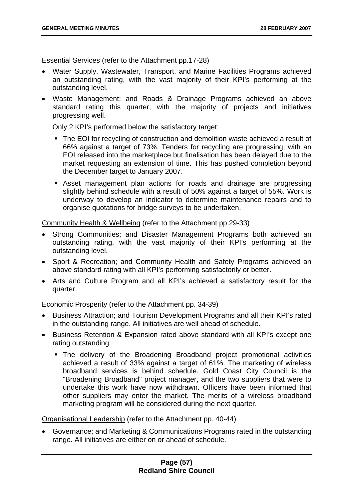Essential Services (refer to the Attachment pp.17-28)

- Water Supply, Wastewater, Transport, and Marine Facilities Programs achieved an outstanding rating, with the vast majority of their KPI's performing at the outstanding level.
- Waste Management; and Roads & Drainage Programs achieved an above standard rating this quarter, with the majority of projects and initiatives progressing well.

Only 2 KPI's performed below the satisfactory target:

- The EOI for recycling of construction and demolition waste achieved a result of 66% against a target of 73%. Tenders for recycling are progressing, with an EOI released into the marketplace but finalisation has been delayed due to the market requesting an extension of time. This has pushed completion beyond the December target to January 2007.
- Asset management plan actions for roads and drainage are progressing slightly behind schedule with a result of 50% against a target of 55%. Work is underway to develop an indicator to determine maintenance repairs and to organise quotations for bridge surveys to be undertaken.

Community Health & Wellbeing (refer to the Attachment pp.29-33)

- Strong Communities; and Disaster Management Programs both achieved an outstanding rating, with the vast majority of their KPI's performing at the outstanding level.
- Sport & Recreation; and Community Health and Safety Programs achieved an above standard rating with all KPI's performing satisfactorily or better.
- Arts and Culture Program and all KPI's achieved a satisfactory result for the quarter.

Economic Prosperity (refer to the Attachment pp. 34-39)

- Business Attraction; and Tourism Development Programs and all their KPI's rated in the outstanding range. All initiatives are well ahead of schedule.
- Business Retention & Expansion rated above standard with all KPI's except one rating outstanding.
	- The delivery of the Broadening Broadband project promotional activities achieved a result of 33% against a target of 61%. The marketing of wireless broadband services is behind schedule. Gold Coast City Council is the "Broadening Broadband" project manager, and the two suppliers that were to undertake this work have now withdrawn. Officers have been informed that other suppliers may enter the market. The merits of a wireless broadband marketing program will be considered during the next quarter.

Organisational Leadership (refer to the Attachment pp. 40-44)

• Governance; and Marketing & Communications Programs rated in the outstanding range. All initiatives are either on or ahead of schedule.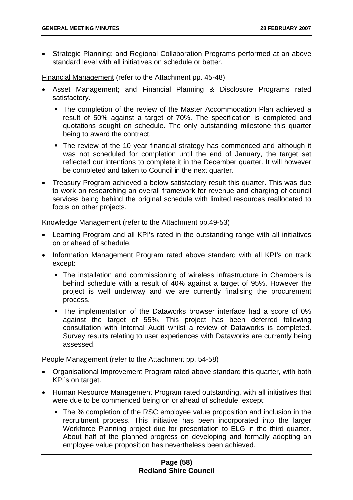• Strategic Planning; and Regional Collaboration Programs performed at an above standard level with all initiatives on schedule or better.

Financial Management (refer to the Attachment pp. 45-48)

- Asset Management; and Financial Planning & Disclosure Programs rated satisfactory.
	- The completion of the review of the Master Accommodation Plan achieved a result of 50% against a target of 70%. The specification is completed and quotations sought on schedule. The only outstanding milestone this quarter being to award the contract.
	- The review of the 10 year financial strategy has commenced and although it was not scheduled for completion until the end of January, the target set reflected our intentions to complete it in the December quarter. It will however be completed and taken to Council in the next quarter.
- Treasury Program achieved a below satisfactory result this quarter. This was due to work on researching an overall framework for revenue and charging of council services being behind the original schedule with limited resources reallocated to focus on other projects.

Knowledge Management (refer to the Attachment pp.49-53)

- Learning Program and all KPI's rated in the outstanding range with all initiatives on or ahead of schedule.
- Information Management Program rated above standard with all KPI's on track except:
	- The installation and commissioning of wireless infrastructure in Chambers is behind schedule with a result of  $40\%$  against a target of 95%. However the project is well underway and we are currently finalising the procurement process.
	- The implementation of the Dataworks browser interface had a score of 0% against the target of 55%. This project has been deferred following consultation with Internal Audit whilst a review of Dataworks is completed. Survey results relating to user experiences with Dataworks are currently being assessed.

People Management (refer to the Attachment pp. 54-58)

- Organisational Improvement Program rated above standard this quarter, with both KPI's on target.
- Human Resource Management Program rated outstanding, with all initiatives that were due to be commenced being on or ahead of schedule, except:
	- The % completion of the RSC employee value proposition and inclusion in the recruitment process. This initiative has been incorporated into the larger Workforce Planning project due for presentation to ELG in the third quarter. About half of the planned progress on developing and formally adopting an employee value proposition has nevertheless been achieved.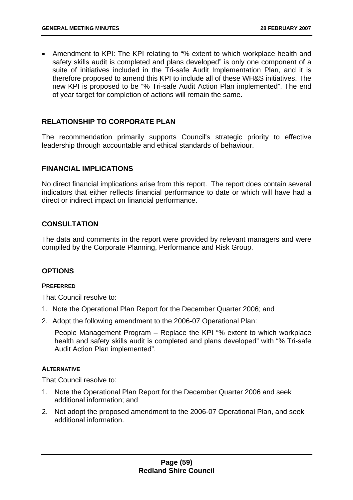• Amendment to KPI: The KPI relating to "% extent to which workplace health and safety skills audit is completed and plans developed" is only one component of a suite of initiatives included in the Tri-safe Audit Implementation Plan, and it is therefore proposed to amend this KPI to include all of these WH&S initiatives. The new KPI is proposed to be "% Tri-safe Audit Action Plan implemented". The end of year target for completion of actions will remain the same.

## **RELATIONSHIP TO CORPORATE PLAN**

The recommendation primarily supports Council's strategic priority to effective leadership through accountable and ethical standards of behaviour.

### **FINANCIAL IMPLICATIONS**

No direct financial implications arise from this report. The report does contain several indicators that either reflects financial performance to date or which will have had a direct or indirect impact on financial performance.

## **CONSULTATION**

The data and comments in the report were provided by relevant managers and were compiled by the Corporate Planning, Performance and Risk Group.

## **OPTIONS**

#### **PREFERRED**

That Council resolve to:

- 1. Note the Operational Plan Report for the December Quarter 2006; and
- 2. Adopt the following amendment to the 2006-07 Operational Plan:

People Management Program - Replace the KPI "% extent to which workplace health and safety skills audit is completed and plans developed" with "% Tri-safe Audit Action Plan implemented".

#### **ALTERNATIVE**

That Council resolve to:

- 1. Note the Operational Plan Report for the December Quarter 2006 and seek additional information; and
- 2. Not adopt the proposed amendment to the 2006-07 Operational Plan, and seek additional information.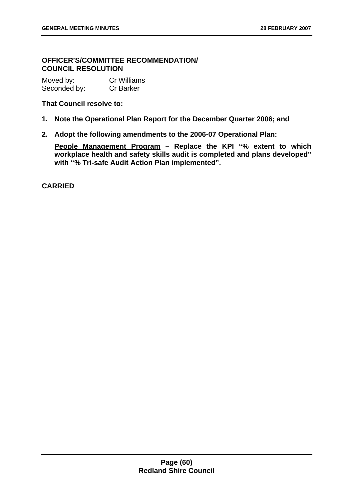# **OFFICER'S/COMMITTEE RECOMMENDATION/ COUNCIL RESOLUTION**

| Moved by:    | <b>Cr Williams</b> |
|--------------|--------------------|
| Seconded by: | <b>Cr Barker</b>   |

## **That Council resolve to:**

- **1. Note the Operational Plan Report for the December Quarter 2006; and**
- **2. Adopt the following amendments to the 2006-07 Operational Plan:**

**People Management Program – Replace the KPI "% extent to which workplace health and safety skills audit is completed and plans developed" with "% Tri-safe Audit Action Plan implemented".**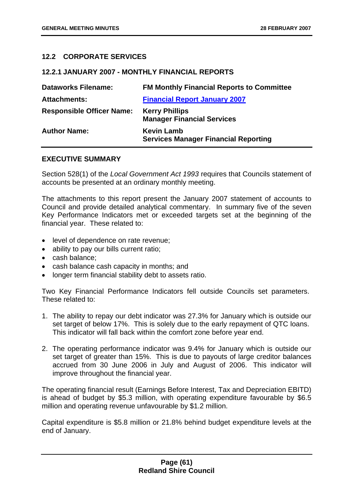## **12.2 CORPORATE SERVICES**

## **12.2.1 JANUARY 2007 - MONTHLY FINANCIAL REPORTS**

| <b>Dataworks Filename:</b>       | <b>FM Monthly Financial Reports to Committee</b>                 |
|----------------------------------|------------------------------------------------------------------|
| <b>Attachments:</b>              | <b>Financial Report January 2007</b>                             |
| <b>Responsible Officer Name:</b> | <b>Kerry Phillips</b><br><b>Manager Financial Services</b>       |
| <b>Author Name:</b>              | <b>Kevin Lamb</b><br><b>Services Manager Financial Reporting</b> |

## **EXECUTIVE SUMMARY**

Section 528(1) of the *Local Government Act 1993* requires that Councils statement of accounts be presented at an ordinary monthly meeting.

The attachments to this report present the January 2007 statement of accounts to Council and provide detailed analytical commentary. In summary five of the seven Key Performance Indicators met or exceeded targets set at the beginning of the financial year. These related to:

- level of dependence on rate revenue;
- ability to pay our bills current ratio;
- cash balance;
- cash balance cash capacity in months; and
- longer term financial stability debt to assets ratio.

Two Key Financial Performance Indicators fell outside Councils set parameters. These related to:

- 1. The ability to repay our debt indicator was 27.3% for January which is outside our set target of below 17%. This is solely due to the early repayment of QTC loans. This indicator will fall back within the comfort zone before year end.
- 2. The operating performance indicator was 9.4% for January which is outside our set target of greater than 15%. This is due to payouts of large creditor balances accrued from 30 June 2006 in July and August of 2006. This indicator will improve throughout the financial year.

The operating financial result (Earnings Before Interest, Tax and Depreciation EBITD) is ahead of budget by \$5.3 million, with operating expenditure favourable by \$6.5 million and operating revenue unfavourable by \$1.2 million.

Capital expenditure is \$5.8 million or 21.8% behind budget expenditure levels at the end of January.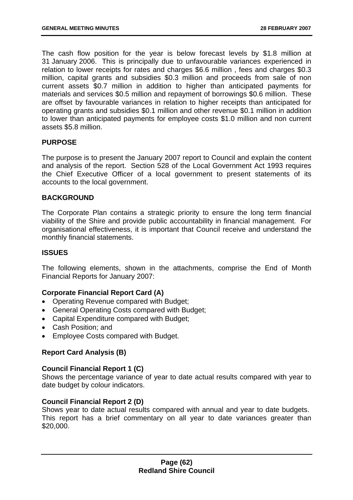The cash flow position for the year is below forecast levels by \$1.8 million at 31 January 2006. This is principally due to unfavourable variances experienced in relation to lower receipts for rates and charges \$6.6 million , fees and charges \$0.3 million, capital grants and subsidies \$0.3 million and proceeds from sale of non current assets \$0.7 million in addition to higher than anticipated payments for materials and services \$0.5 million and repayment of borrowings \$0.6 million. These are offset by favourable variances in relation to higher receipts than anticipated for operating grants and subsidies \$0.1 million and other revenue \$0.1 million in addition to lower than anticipated payments for employee costs \$1.0 million and non current assets \$5.8 million.

## **PURPOSE**

The purpose is to present the January 2007 report to Council and explain the content and analysis of the report. Section 528 of the Local Government Act 1993 requires the Chief Executive Officer of a local government to present statements of its accounts to the local government.

## **BACKGROUND**

The Corporate Plan contains a strategic priority to ensure the long term financial viability of the Shire and provide public accountability in financial management. For organisational effectiveness, it is important that Council receive and understand the monthly financial statements.

## **ISSUES**

The following elements, shown in the attachments, comprise the End of Month Financial Reports for January 2007:

## **Corporate Financial Report Card (A)**

- Operating Revenue compared with Budget;
- General Operating Costs compared with Budget;
- Capital Expenditure compared with Budget;
- Cash Position; and
- Employee Costs compared with Budget.

## **Report Card Analysis (B)**

## **Council Financial Report 1 (C)**

Shows the percentage variance of year to date actual results compared with year to date budget by colour indicators.

## **Council Financial Report 2 (D)**

Shows year to date actual results compared with annual and year to date budgets. This report has a brief commentary on all year to date variances greater than \$20,000.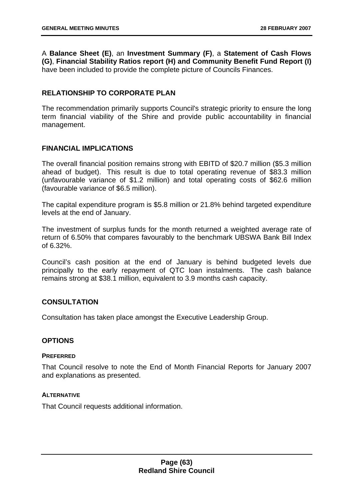A **Balance Sheet (E)**, an **Investment Summary (F)**, a **Statement of Cash Flows (G)**, **Financial Stability Ratios report (H) and Community Benefit Fund Report (I)**  have been included to provide the complete picture of Councils Finances.

# **RELATIONSHIP TO CORPORATE PLAN**

The recommendation primarily supports Council's strategic priority to ensure the long term financial viability of the Shire and provide public accountability in financial management.

## **FINANCIAL IMPLICATIONS**

The overall financial position remains strong with EBITD of \$20.7 million (\$5.3 million ahead of budget). This result is due to total operating revenue of \$83.3 million (unfavourable variance of \$1.2 million) and total operating costs of \$62.6 million (favourable variance of \$6.5 million).

The capital expenditure program is \$5.8 million or 21.8% behind targeted expenditure levels at the end of January.

The investment of surplus funds for the month returned a weighted average rate of return of 6.50% that compares favourably to the benchmark UBSWA Bank Bill Index of 6.32%.

Council's cash position at the end of January is behind budgeted levels due principally to the early repayment of QTC loan instalments. The cash balance remains strong at \$38.1 million, equivalent to 3.9 months cash capacity.

## **CONSULTATION**

Consultation has taken place amongst the Executive Leadership Group.

## **OPTIONS**

#### **PREFERRED**

That Council resolve to note the End of Month Financial Reports for January 2007 and explanations as presented.

## **ALTERNATIVE**

That Council requests additional information.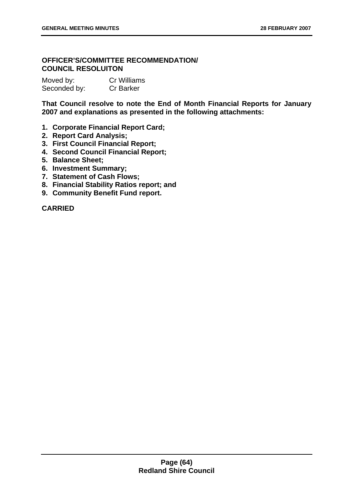# **OFFICER'S/COMMITTEE RECOMMENDATION/ COUNCIL RESOLUITON**

| Moved by:    | <b>Cr Williams</b> |
|--------------|--------------------|
| Seconded by: | <b>Cr Barker</b>   |

**That Council resolve to note the End of Month Financial Reports for January 2007 and explanations as presented in the following attachments:** 

- **1. Corporate Financial Report Card;**
- **2. Report Card Analysis;**
- **3. First Council Financial Report;**
- **4. Second Council Financial Report;**
- **5. Balance Sheet;**
- **6. Investment Summary;**
- **7. Statement of Cash Flows;**
- **8. Financial Stability Ratios report; and**
- **9. Community Benefit Fund report.**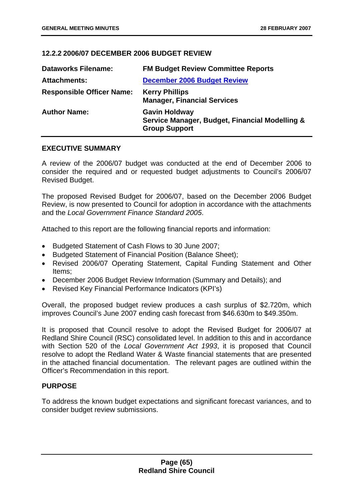## **12.2.2 2006/07 DECEMBER 2006 BUDGET REVIEW**

| <b>Dataworks Filename:</b>       | <b>FM Budget Review Committee Reports</b>                                                      |
|----------------------------------|------------------------------------------------------------------------------------------------|
| <b>Attachments:</b>              | <b>December 2006 Budget Review</b>                                                             |
| <b>Responsible Officer Name:</b> | <b>Kerry Phillips</b><br><b>Manager, Financial Services</b>                                    |
| <b>Author Name:</b>              | <b>Gavin Holdway</b><br>Service Manager, Budget, Financial Modelling &<br><b>Group Support</b> |

## **EXECUTIVE SUMMARY**

A review of the 2006/07 budget was conducted at the end of December 2006 to consider the required and or requested budget adjustments to Council's 2006/07 Revised Budget.

The proposed Revised Budget for 2006/07, based on the December 2006 Budget Review, is now presented to Council for adoption in accordance with the attachments and the *Local Government Finance Standard 2005*.

Attached to this report are the following financial reports and information:

- Budgeted Statement of Cash Flows to 30 June 2007;
- Budgeted Statement of Financial Position (Balance Sheet);
- Revised 2006/07 Operating Statement, Capital Funding Statement and Other Items;
- December 2006 Budget Review Information (Summary and Details); and
- Revised Key Financial Performance Indicators (KPI's)

Overall, the proposed budget review produces a cash surplus of \$2.720m, which improves Council's June 2007 ending cash forecast from \$46.630m to \$49.350m.

It is proposed that Council resolve to adopt the Revised Budget for 2006/07 at Redland Shire Council (RSC) consolidated level. In addition to this and in accordance with Section 520 of the *Local Government Act 1993*, it is proposed that Council resolve to adopt the Redland Water & Waste financial statements that are presented in the attached financial documentation. The relevant pages are outlined within the Officer's Recommendation in this report.

## **PURPOSE**

To address the known budget expectations and significant forecast variances, and to consider budget review submissions.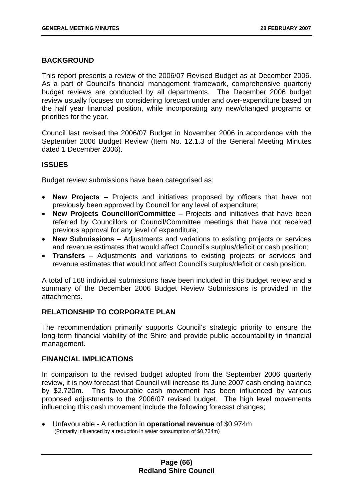## **BACKGROUND**

This report presents a review of the 2006/07 Revised Budget as at December 2006. As a part of Council's financial management framework, comprehensive quarterly budget reviews are conducted by all departments. The December 2006 budget review usually focuses on considering forecast under and over-expenditure based on the half year financial position, while incorporating any new/changed programs or priorities for the year.

Council last revised the 2006/07 Budget in November 2006 in accordance with the September 2006 Budget Review (Item No. 12.1.3 of the General Meeting Minutes dated 1 December 2006).

## **ISSUES**

Budget review submissions have been categorised as:

- **New Projects** Projects and initiatives proposed by officers that have not previously been approved by Council for any level of expenditure;
- **New Projects Councillor/Committee** Projects and initiatives that have been referred by Councillors or Council/Committee meetings that have not received previous approval for any level of expenditure;
- **New Submissions** Adjustments and variations to existing projects or services and revenue estimates that would affect Council's surplus/deficit or cash position;
- **Transfers** Adjustments and variations to existing projects or services and revenue estimates that would not affect Council's surplus/deficit or cash position.

A total of 168 individual submissions have been included in this budget review and a summary of the December 2006 Budget Review Submissions is provided in the attachments.

## **RELATIONSHIP TO CORPORATE PLAN**

The recommendation primarily supports Council's strategic priority to ensure the long-term financial viability of the Shire and provide public accountability in financial management.

## **FINANCIAL IMPLICATIONS**

In comparison to the revised budget adopted from the September 2006 quarterly review, it is now forecast that Council will increase its June 2007 cash ending balance by \$2.720m. This favourable cash movement has been influenced by various proposed adjustments to the 2006/07 revised budget. The high level movements influencing this cash movement include the following forecast changes;

• Unfavourable - A reduction in **operational revenue** of \$0.974m (Primarily influenced by a reduction in water consumption of \$0.734m)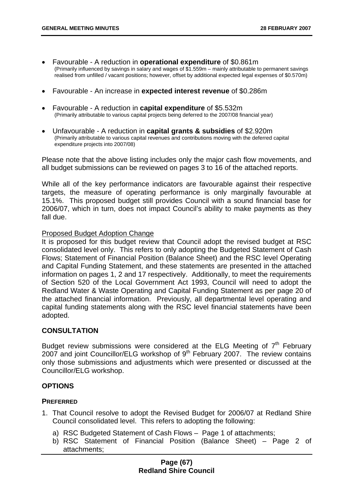- Favourable A reduction in **operational expenditure** of \$0.861m (Primarily influenced by savings in salary and wages of \$1.559m – mainly attributable to permanent savings realised from unfilled / vacant positions; however, offset by additional expected legal expenses of \$0.570m)
- Favourable An increase in **expected interest revenue** of \$0.286m
- Favourable A reduction in **capital expenditure** of \$5.532m (Primarily attributable to various capital projects being deferred to the 2007/08 financial year)
- Unfavourable A reduction in **capital grants & subsidies** of \$2.920m (Primarily attributable to various capital revenues and contributions moving with the deferred capital expenditure projects into 2007/08)

Please note that the above listing includes only the major cash flow movements, and all budget submissions can be reviewed on pages 3 to 16 of the attached reports.

While all of the key performance indicators are favourable against their respective targets, the measure of operating performance is only marginally favourable at 15.1%. This proposed budget still provides Council with a sound financial base for 2006/07, which in turn, does not impact Council's ability to make payments as they fall due.

#### Proposed Budget Adoption Change

It is proposed for this budget review that Council adopt the revised budget at RSC consolidated level only. This refers to only adopting the Budgeted Statement of Cash Flows; Statement of Financial Position (Balance Sheet) and the RSC level Operating and Capital Funding Statement, and these statements are presented in the attached information on pages 1, 2 and 17 respectively. Additionally, to meet the requirements of Section 520 of the Local Government Act 1993, Council will need to adopt the Redland Water & Waste Operating and Capital Funding Statement as per page 20 of the attached financial information. Previously, all departmental level operating and capital funding statements along with the RSC level financial statements have been adopted.

## **CONSULTATION**

Budget review submissions were considered at the ELG Meeting of  $7<sup>th</sup>$  February 2007 and joint Councillor/ELG workshop of  $9<sup>th</sup>$  February 2007. The review contains only those submissions and adjustments which were presented or discussed at the Councillor/ELG workshop.

## **OPTIONS**

#### **PREFERRED**

- 1. That Council resolve to adopt the Revised Budget for 2006/07 at Redland Shire Council consolidated level. This refers to adopting the following:
	- a) RSC Budgeted Statement of Cash Flows Page 1 of attachments;
	- b) RSC Statement of Financial Position (Balance Sheet) Page 2 of attachments;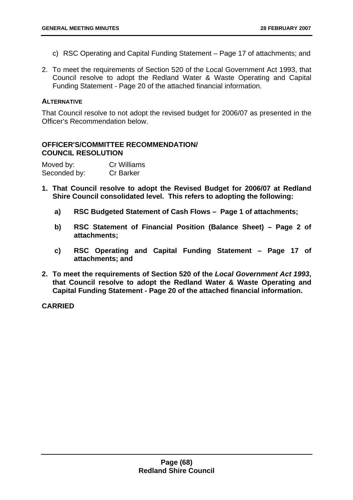- c) RSC Operating and Capital Funding Statement Page 17 of attachments; and
- 2. To meet the requirements of Section 520 of the Local Government Act 1993, that Council resolve to adopt the Redland Water & Waste Operating and Capital Funding Statement - Page 20 of the attached financial information.

## **ALTERNATIVE**

That Council resolve to not adopt the revised budget for 2006/07 as presented in the Officer's Recommendation below.

## **OFFICER'S/COMMITTEE RECOMMENDATION/ COUNCIL RESOLUTION**

| Moved by:    | <b>Cr Williams</b> |
|--------------|--------------------|
| Seconded by: | <b>Cr Barker</b>   |

- **1. That Council resolve to adopt the Revised Budget for 2006/07 at Redland Shire Council consolidated level. This refers to adopting the following:** 
	- **a) RSC Budgeted Statement of Cash Flows Page 1 of attachments;**
	- **b) RSC Statement of Financial Position (Balance Sheet) Page 2 of attachments;**
	- **c) RSC Operating and Capital Funding Statement Page 17 of attachments; and**
- **2. To meet the requirements of Section 520 of the** *Local Government Act 1993***, that Council resolve to adopt the Redland Water & Waste Operating and Capital Funding Statement - Page 20 of the attached financial information.**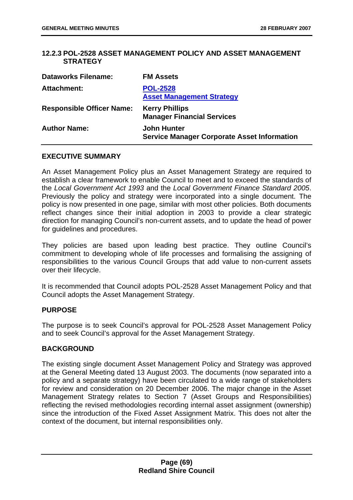## **12.2.3 POL-2528 ASSET MANAGEMENT POLICY AND ASSET MANAGEMENT STRATEGY**

| <b>Dataworks Filename:</b>       | <b>FM Assets</b>                                                         |
|----------------------------------|--------------------------------------------------------------------------|
| <b>Attachment:</b>               | <b>POL-2528</b><br><b>Asset Management Strategy</b>                      |
| <b>Responsible Officer Name:</b> | <b>Kerry Phillips</b><br><b>Manager Financial Services</b>               |
| <b>Author Name:</b>              | <b>John Hunter</b><br><b>Service Manager Corporate Asset Information</b> |

## **EXECUTIVE SUMMARY**

An Asset Management Policy plus an Asset Management Strategy are required to establish a clear framework to enable Council to meet and to exceed the standards of the *Local Government Act 1993* and the *Local Government Finance Standard 2005*. Previously the policy and strategy were incorporated into a single document. The policy is now presented in one page, similar with most other policies. Both documents reflect changes since their initial adoption in 2003 to provide a clear strategic direction for managing Council's non-current assets, and to update the head of power for guidelines and procedures.

They policies are based upon leading best practice. They outline Council's commitment to developing whole of life processes and formalising the assigning of responsibilities to the various Council Groups that add value to non-current assets over their lifecycle.

It is recommended that Council adopts POL-2528 Asset Management Policy and that Council adopts the Asset Management Strategy.

## **PURPOSE**

The purpose is to seek Council's approval for POL-2528 Asset Management Policy and to seek Council's approval for the Asset Management Strategy.

## **BACKGROUND**

The existing single document Asset Management Policy and Strategy was approved at the General Meeting dated 13 August 2003. The documents (now separated into a policy and a separate strategy) have been circulated to a wide range of stakeholders for review and consideration on 20 December 2006. The major change in the Asset Management Strategy relates to Section 7 (Asset Groups and Responsibilities) reflecting the revised methodologies recording internal asset assignment (ownership) since the introduction of the Fixed Asset Assignment Matrix. This does not alter the context of the document, but internal responsibilities only.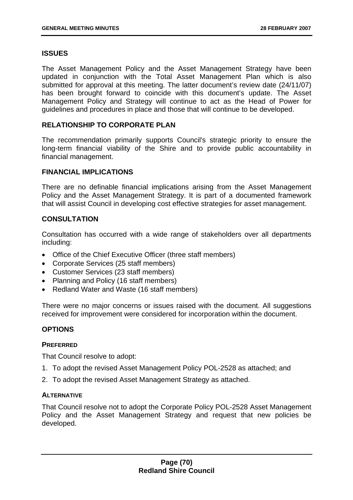## **ISSUES**

The Asset Management Policy and the Asset Management Strategy have been updated in conjunction with the Total Asset Management Plan which is also submitted for approval at this meeting. The latter document's review date (24/11/07) has been brought forward to coincide with this document's update. The Asset Management Policy and Strategy will continue to act as the Head of Power for guidelines and procedures in place and those that will continue to be developed.

## **RELATIONSHIP TO CORPORATE PLAN**

The recommendation primarily supports Council's strategic priority to ensure the long-term financial viability of the Shire and to provide public accountability in financial management.

## **FINANCIAL IMPLICATIONS**

There are no definable financial implications arising from the Asset Management Policy and the Asset Management Strategy. It is part of a documented framework that will assist Council in developing cost effective strategies for asset management.

## **CONSULTATION**

Consultation has occurred with a wide range of stakeholders over all departments including:

- Office of the Chief Executive Officer (three staff members)
- Corporate Services (25 staff members)
- Customer Services (23 staff members)
- Planning and Policy (16 staff members)
- Redland Water and Waste (16 staff members)

There were no major concerns or issues raised with the document. All suggestions received for improvement were considered for incorporation within the document.

## **OPTIONS**

## **PREFERRED**

That Council resolve to adopt:

- 1. To adopt the revised Asset Management Policy POL-2528 as attached; and
- 2. To adopt the revised Asset Management Strategy as attached.

## **ALTERNATIVE**

That Council resolve not to adopt the Corporate Policy POL-2528 Asset Management Policy and the Asset Management Strategy and request that new policies be developed.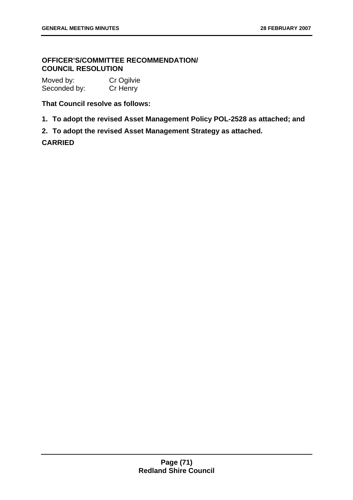# **OFFICER'S/COMMITTEE RECOMMENDATION/ COUNCIL RESOLUTION**

| Moved by:    | Cr Ogilvie |
|--------------|------------|
| Seconded by: | Cr Henry   |

**That Council resolve as follows:** 

- **1. To adopt the revised Asset Management Policy POL-2528 as attached; and**
- **2. To adopt the revised Asset Management Strategy as attached.**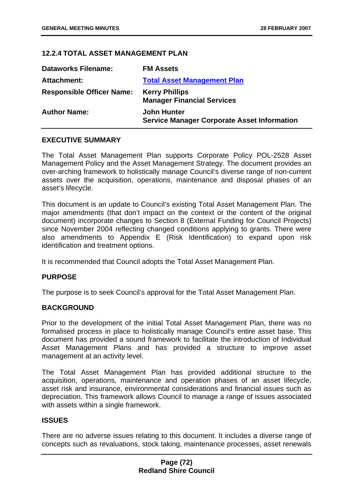## **12.2.4 TOTAL ASSET MANAGEMENT PLAN**

| <b>Dataworks Filename:</b>       | <b>FM Assets</b>                                                         |
|----------------------------------|--------------------------------------------------------------------------|
| Attachment:                      | <b>Total Asset Management Plan</b>                                       |
| <b>Responsible Officer Name:</b> | <b>Kerry Phillips</b><br><b>Manager Financial Services</b>               |
| <b>Author Name:</b>              | <b>John Hunter</b><br><b>Service Manager Corporate Asset Information</b> |

## **EXECUTIVE SUMMARY**

The Total Asset Management Plan supports Corporate Policy POL-2528 Asset Management Policy and the Asset Management Strategy. The document provides an over-arching framework to holistically manage Council's diverse range of non-current assets over the acquisition, operations, maintenance and disposal phases of an asset's lifecycle.

This document is an update to Council's existing Total Asset Management Plan. The major amendments (that don't impact on the context or the content of the original document) incorporate changes to Section 8 (External Funding for Council Projects) since November 2004 reflecting changed conditions applying to grants. There were also amendments to Appendix E (Risk Identification) to expand upon risk identification and treatment options.

It is recommended that Council adopts the Total Asset Management Plan.

### **PURPOSE**

The purpose is to seek Council's approval for the Total Asset Management Plan.

### **BACKGROUND**

Prior to the development of the initial Total Asset Management Plan, there was no formalised process in place to holistically manage Council's entire asset base. This document has provided a sound framework to facilitate the introduction of Individual Asset Management Plans and has provided a structure to improve asset management at an activity level.

The Total Asset Management Plan has provided additional structure to the acquisition, operations, maintenance and operation phases of an asset lifecycle, asset risk and insurance, environmental considerations and financial issues such as depreciation. This framework allows Council to manage a range of issues associated with assets within a single framework.

## **ISSUES**

There are no adverse issues relating to this document. It includes a diverse range of concepts such as revaluations, stock taking, maintenance processes, asset renewals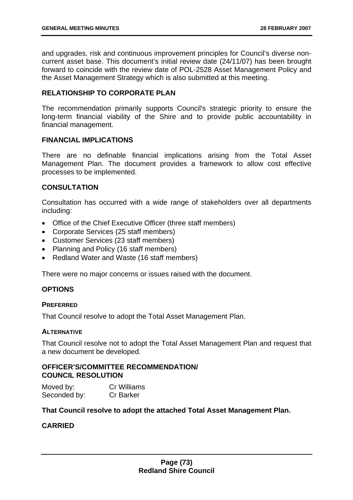and upgrades, risk and continuous improvement principles for Council's diverse noncurrent asset base. This document's initial review date (24/11/07) has been brought forward to coincide with the review date of POL-2528 Asset Management Policy and the Asset Management Strategy which is also submitted at this meeting.

## **RELATIONSHIP TO CORPORATE PLAN**

The recommendation primarily supports Council's strategic priority to ensure the long-term financial viability of the Shire and to provide public accountability in financial management.

## **FINANCIAL IMPLICATIONS**

There are no definable financial implications arising from the Total Asset Management Plan. The document provides a framework to allow cost effective processes to be implemented.

## **CONSULTATION**

Consultation has occurred with a wide range of stakeholders over all departments including:

- Office of the Chief Executive Officer (three staff members)
- Corporate Services (25 staff members)
- Customer Services (23 staff members)
- Planning and Policy (16 staff members)
- Redland Water and Waste (16 staff members)

There were no major concerns or issues raised with the document.

# **OPTIONS**

### **PREFERRED**

That Council resolve to adopt the Total Asset Management Plan.

### **ALTERNATIVE**

That Council resolve not to adopt the Total Asset Management Plan and request that a new document be developed.

### **OFFICER'S/COMMITTEE RECOMMENDATION/ COUNCIL RESOLUTION**

Moved by: Cr Williams Seconded by: Cr Barker

**That Council resolve to adopt the attached Total Asset Management Plan.**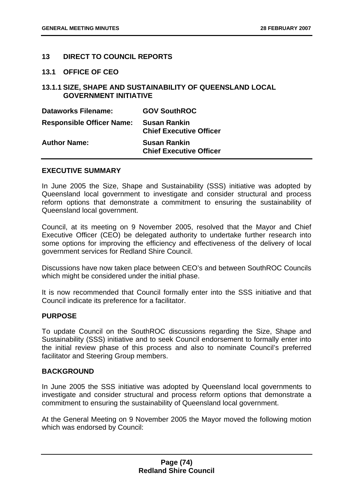# **13 DIRECT TO COUNCIL REPORTS**

#### **13.1 OFFICE OF CEO**

## **13.1.1 SIZE, SHAPE AND SUSTAINABILITY OF QUEENSLAND LOCAL GOVERNMENT INITIATIVE**

| <b>Dataworks Filename:</b>       | <b>GOV SouthROC</b>                                   |
|----------------------------------|-------------------------------------------------------|
| <b>Responsible Officer Name:</b> | <b>Susan Rankin</b><br><b>Chief Executive Officer</b> |
| <b>Author Name:</b>              | <b>Susan Rankin</b><br><b>Chief Executive Officer</b> |

#### **EXECUTIVE SUMMARY**

In June 2005 the Size, Shape and Sustainability (SSS) initiative was adopted by Queensland local government to investigate and consider structural and process reform options that demonstrate a commitment to ensuring the sustainability of Queensland local government.

Council, at its meeting on 9 November 2005, resolved that the Mayor and Chief Executive Officer (CEO) be delegated authority to undertake further research into some options for improving the efficiency and effectiveness of the delivery of local government services for Redland Shire Council.

Discussions have now taken place between CEO's and between SouthROC Councils which might be considered under the initial phase.

It is now recommended that Council formally enter into the SSS initiative and that Council indicate its preference for a facilitator.

## **PURPOSE**

To update Council on the SouthROC discussions regarding the Size, Shape and Sustainability (SSS) initiative and to seek Council endorsement to formally enter into the initial review phase of this process and also to nominate Council's preferred facilitator and Steering Group members.

### **BACKGROUND**

In June 2005 the SSS initiative was adopted by Queensland local governments to investigate and consider structural and process reform options that demonstrate a commitment to ensuring the sustainability of Queensland local government.

At the General Meeting on 9 November 2005 the Mayor moved the following motion which was endorsed by Council: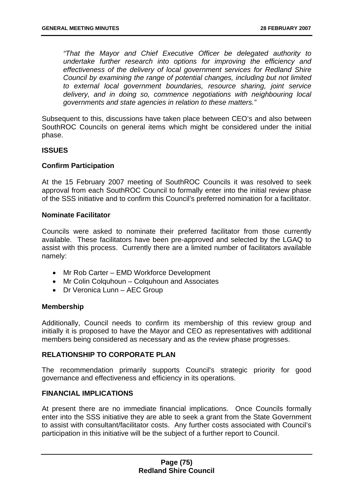*"That the Mayor and Chief Executive Officer be delegated authority to undertake further research into options for improving the efficiency and effectiveness of the delivery of local government services for Redland Shire Council by examining the range of potential changes, including but not limited to external local government boundaries, resource sharing, joint service delivery, and in doing so, commence negotiations with neighbouring local governments and state agencies in relation to these matters."* 

Subsequent to this, discussions have taken place between CEO's and also between SouthROC Councils on general items which might be considered under the initial phase.

### **ISSUES**

### **Confirm Participation**

At the 15 February 2007 meeting of SouthROC Councils it was resolved to seek approval from each SouthROC Council to formally enter into the initial review phase of the SSS initiative and to confirm this Council's preferred nomination for a facilitator.

#### **Nominate Facilitator**

Councils were asked to nominate their preferred facilitator from those currently available. These facilitators have been pre-approved and selected by the LGAQ to assist with this process. Currently there are a limited number of facilitators available namely:

- Mr Rob Carter EMD Workforce Development
- Mr Colin Colquhoun Colquhoun and Associates
- Dr Veronica Lunn AEC Group

### **Membership**

Additionally, Council needs to confirm its membership of this review group and initially it is proposed to have the Mayor and CEO as representatives with additional members being considered as necessary and as the review phase progresses.

# **RELATIONSHIP TO CORPORATE PLAN**

The recommendation primarily supports Council's strategic priority for good governance and effectiveness and efficiency in its operations.

### **FINANCIAL IMPLICATIONS**

At present there are no immediate financial implications. Once Councils formally enter into the SSS initiative they are able to seek a grant from the State Government to assist with consultant/facilitator costs. Any further costs associated with Council's participation in this initiative will be the subject of a further report to Council.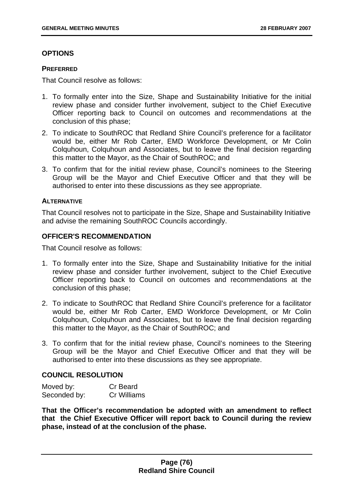# **OPTIONS**

#### **PREFERRED**

That Council resolve as follows:

- 1. To formally enter into the Size, Shape and Sustainability Initiative for the initial review phase and consider further involvement, subject to the Chief Executive Officer reporting back to Council on outcomes and recommendations at the conclusion of this phase;
- 2. To indicate to SouthROC that Redland Shire Council's preference for a facilitator would be, either Mr Rob Carter, EMD Workforce Development, or Mr Colin Colquhoun, Colquhoun and Associates, but to leave the final decision regarding this matter to the Mayor, as the Chair of SouthROC; and
- 3. To confirm that for the initial review phase, Council's nominees to the Steering Group will be the Mayor and Chief Executive Officer and that they will be authorised to enter into these discussions as they see appropriate.

### **ALTERNATIVE**

That Council resolves not to participate in the Size, Shape and Sustainability Initiative and advise the remaining SouthROC Councils accordingly.

### **OFFICER'S RECOMMENDATION**

That Council resolve as follows:

- 1. To formally enter into the Size, Shape and Sustainability Initiative for the initial review phase and consider further involvement, subject to the Chief Executive Officer reporting back to Council on outcomes and recommendations at the conclusion of this phase;
- 2. To indicate to SouthROC that Redland Shire Council's preference for a facilitator would be, either Mr Rob Carter, EMD Workforce Development, or Mr Colin Colquhoun, Colquhoun and Associates, but to leave the final decision regarding this matter to the Mayor, as the Chair of SouthROC; and
- 3. To confirm that for the initial review phase, Council's nominees to the Steering Group will be the Mayor and Chief Executive Officer and that they will be authorised to enter into these discussions as they see appropriate.

### **COUNCIL RESOLUTION**

| Moved by:    | Cr Beard    |
|--------------|-------------|
| Seconded by: | Cr Williams |

**That the Officer's recommendation be adopted with an amendment to reflect that the Chief Executive Officer will report back to Council during the review phase, instead of at the conclusion of the phase.**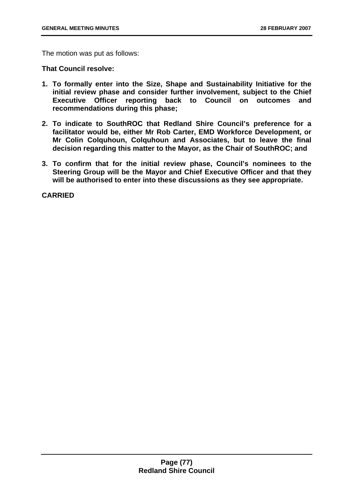The motion was put as follows:

**That Council resolve:** 

- **1. To formally enter into the Size, Shape and Sustainability Initiative for the initial review phase and consider further involvement, subject to the Chief Executive Officer reporting back to Council on outcomes and recommendations during this phase;**
- **2. To indicate to SouthROC that Redland Shire Council's preference for a facilitator would be, either Mr Rob Carter, EMD Workforce Development, or Mr Colin Colquhoun, Colquhoun and Associates, but to leave the final decision regarding this matter to the Mayor, as the Chair of SouthROC; and**
- **3. To confirm that for the initial review phase, Council's nominees to the Steering Group will be the Mayor and Chief Executive Officer and that they will be authorised to enter into these discussions as they see appropriate.**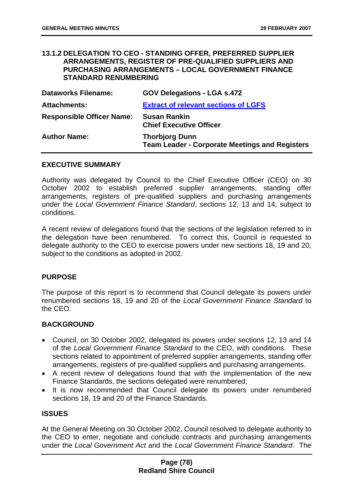### **13.1.2 DELEGATION TO CEO - STANDING OFFER, PREFERRED SUPPLIER ARRANGEMENTS, REGISTER OF PRE-QUALIFIED SUPPLIERS AND PURCHASING ARRANGEMENTS – LOCAL GOVERNMENT FINANCE STANDARD RENUMBERING**

| <b>Dataworks Filename:</b>       | <b>GOV Delegations - LGA s.472</b>                                             |
|----------------------------------|--------------------------------------------------------------------------------|
| <b>Attachments:</b>              | <b>Extract of relevant sections of LGFS</b>                                    |
| <b>Responsible Officer Name:</b> | <b>Susan Rankin</b><br><b>Chief Executive Officer</b>                          |
| <b>Author Name:</b>              | <b>Thorbjorg Dunn</b><br><b>Team Leader - Corporate Meetings and Registers</b> |

### **EXECUTIVE SUMMARY**

Authority was delegated by Council to the Chief Executive Officer (CEO) on 30 October 2002 to establish preferred supplier arrangements, standing offer arrangements, registers of pre-qualified suppliers and purchasing arrangements under the *Local Government Finance Standard*, sections 12, 13 and 14, subject to conditions.

A recent review of delegations found that the sections of the legislation referred to in the delegation have been renumbered. To correct this, Council is requested to delegate authority to the CEO to exercise powers under new sections 18, 19 and 20, subject to the conditions as adopted in 2002.

### **PURPOSE**

The purpose of this report is to recommend that Council delegate its powers under renumbered sections 18, 19 and 20 of the *Local Government Finance Standard* to the CEO.

### **BACKGROUND**

- Council, on 30 October 2002, delegated its powers under sections 12, 13 and 14 of the *Local Government Finance Standard* to the CEO, with conditions. These sections related to appointment of preferred supplier arrangements, standing offer arrangements, registers of pre-qualified suppliers and purchasing arrangements.
- A recent review of delegations found that with the implementation of the new Finance Standards, the sections delegated were renumbered;
- It is now recommended that Council delegate its powers under renumbered sections 18, 19 and 20 of the Finance Standards.

#### **ISSUES**

At the General Meeting on 30 October 2002, Council resolved to delegate authority to the CEO to enter, negotiate and conclude contracts and purchasing arrangements under the *Local Government Act* and the *Local Government Finance Standard*. The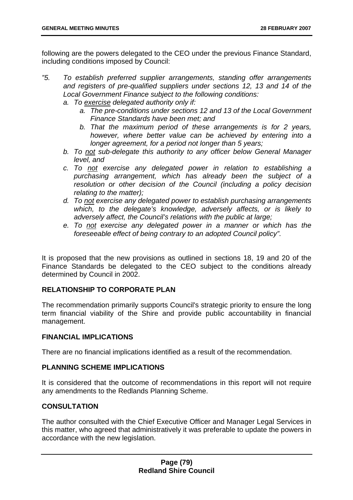following are the powers delegated to the CEO under the previous Finance Standard, including conditions imposed by Council:

- *"5. To establish preferred supplier arrangements, standing offer arrangements*  and registers of pre-qualified suppliers under sections 12, 13 and 14 of the *Local Government Finance subject to the following conditions:* 
	- *a. To exercise delegated authority only if:* 
		- *a. The pre-conditions under sections 12 and 13 of the Local Government Finance Standards have been met; and*
		- *b. That the maximum period of these arrangements is for 2 years, however, where better value can be achieved by entering into a longer agreement, for a period not longer than 5 years;*
	- *b. To not sub-delegate this authority to any officer below General Manager level, and*
	- *c. To not exercise any delegated power in relation to establishing a purchasing arrangement, which has already been the subject of a resolution or other decision of the Council (including a policy decision relating to the matter);*
	- *d. To not exercise any delegated power to establish purchasing arrangements which, to the delegate's knowledge, adversely affects, or is likely to adversely affect, the Council's relations with the public at large;*
	- *e. To not exercise any delegated power in a manner or which has the foreseeable effect of being contrary to an adopted Council policy".*

It is proposed that the new provisions as outlined in sections 18, 19 and 20 of the Finance Standards be delegated to the CEO subject to the conditions already determined by Council in 2002.

# **RELATIONSHIP TO CORPORATE PLAN**

The recommendation primarily supports Council's strategic priority to ensure the long term financial viability of the Shire and provide public accountability in financial management.

# **FINANCIAL IMPLICATIONS**

There are no financial implications identified as a result of the recommendation.

# **PLANNING SCHEME IMPLICATIONS**

It is considered that the outcome of recommendations in this report will not require any amendments to the Redlands Planning Scheme.

# **CONSULTATION**

The author consulted with the Chief Executive Officer and Manager Legal Services in this matter, who agreed that administratively it was preferable to update the powers in accordance with the new legislation.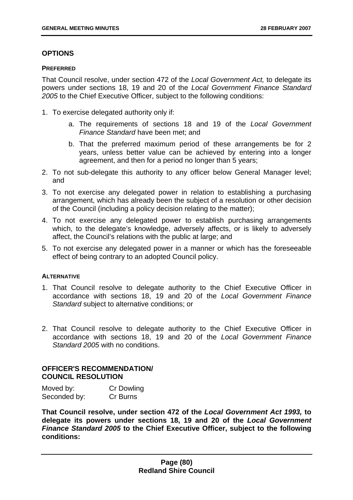# **OPTIONS**

### **PREFERRED**

That Council resolve, under section 472 of the *Local Government Act,* to delegate its powers under sections 18, 19 and 20 of the *Local Government Finance Standard 2005* to the Chief Executive Officer, subject to the following conditions:

- 1. To exercise delegated authority only if:
	- a. The requirements of sections 18 and 19 of the *Local Government Finance Standard* have been met; and
	- b. That the preferred maximum period of these arrangements be for 2 years, unless better value can be achieved by entering into a longer agreement, and then for a period no longer than 5 years;
- 2. To not sub-delegate this authority to any officer below General Manager level; and
- 3. To not exercise any delegated power in relation to establishing a purchasing arrangement, which has already been the subject of a resolution or other decision of the Council (including a policy decision relating to the matter);
- 4. To not exercise any delegated power to establish purchasing arrangements which, to the delegate's knowledge, adversely affects, or is likely to adversely affect, the Council's relations with the public at large; and
- 5. To not exercise any delegated power in a manner or which has the foreseeable effect of being contrary to an adopted Council policy.

### **ALTERNATIVE**

- 1. That Council resolve to delegate authority to the Chief Executive Officer in accordance with sections 18, 19 and 20 of the *Local Government Finance Standard* subject to alternative conditions; or
- 2. That Council resolve to delegate authority to the Chief Executive Officer in accordance with sections 18, 19 and 20 of the *Local Government Finance Standard 2005* with no conditions.

## **OFFICER'S RECOMMENDATION/ COUNCIL RESOLUTION**

| Moved by:    | <b>Cr Dowling</b> |
|--------------|-------------------|
| Seconded by: | Cr Burns          |

**That Council resolve, under section 472 of the** *Local Government Act 1993,* **to delegate its powers under sections 18, 19 and 20 of the** *Local Government Finance Standard 2005* **to the Chief Executive Officer, subject to the following conditions:**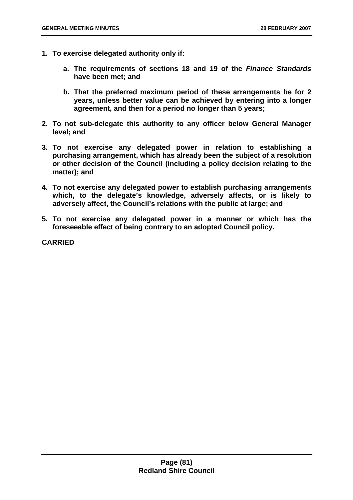- **1. To exercise delegated authority only if:** 
	- **a. The requirements of sections 18 and 19 of the** *Finance Standards* **have been met; and**
	- **b. That the preferred maximum period of these arrangements be for 2 years, unless better value can be achieved by entering into a longer agreement, and then for a period no longer than 5 years;**
- **2. To not sub-delegate this authority to any officer below General Manager level; and**
- **3. To not exercise any delegated power in relation to establishing a purchasing arrangement, which has already been the subject of a resolution or other decision of the Council (including a policy decision relating to the matter); and**
- **4. To not exercise any delegated power to establish purchasing arrangements which, to the delegate's knowledge, adversely affects, or is likely to adversely affect, the Council's relations with the public at large; and**
- **5. To not exercise any delegated power in a manner or which has the foreseeable effect of being contrary to an adopted Council policy.**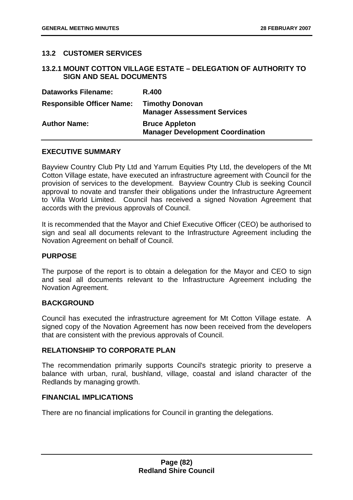# **13.2 CUSTOMER SERVICES**

### **13.2.1 MOUNT COTTON VILLAGE ESTATE – DELEGATION OF AUTHORITY TO SIGN AND SEAL DOCUMENTS**

| <b>Dataworks Filename:</b>       | <b>R.400</b>                                                     |
|----------------------------------|------------------------------------------------------------------|
| <b>Responsible Officer Name:</b> | <b>Timothy Donovan</b><br><b>Manager Assessment Services</b>     |
| <b>Author Name:</b>              | <b>Bruce Appleton</b><br><b>Manager Development Coordination</b> |

### **EXECUTIVE SUMMARY**

Bayview Country Club Pty Ltd and Yarrum Equities Pty Ltd, the developers of the Mt Cotton Village estate, have executed an infrastructure agreement with Council for the provision of services to the development. Bayview Country Club is seeking Council approval to novate and transfer their obligations under the Infrastructure Agreement to Villa World Limited. Council has received a signed Novation Agreement that accords with the previous approvals of Council.

It is recommended that the Mayor and Chief Executive Officer (CEO) be authorised to sign and seal all documents relevant to the Infrastructure Agreement including the Novation Agreement on behalf of Council.

#### **PURPOSE**

The purpose of the report is to obtain a delegation for the Mayor and CEO to sign and seal all documents relevant to the Infrastructure Agreement including the Novation Agreement.

### **BACKGROUND**

Council has executed the infrastructure agreement for Mt Cotton Village estate. A signed copy of the Novation Agreement has now been received from the developers that are consistent with the previous approvals of Council.

### **RELATIONSHIP TO CORPORATE PLAN**

The recommendation primarily supports Council's strategic priority to preserve a balance with urban, rural, bushland, village, coastal and island character of the Redlands by managing growth.

#### **FINANCIAL IMPLICATIONS**

There are no financial implications for Council in granting the delegations.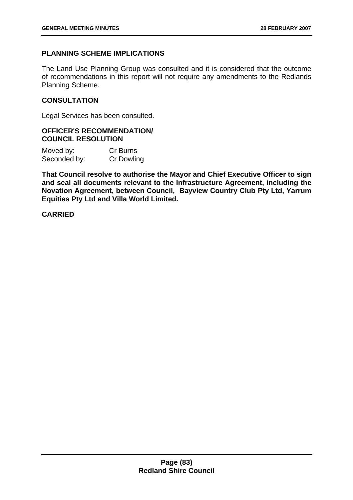## **PLANNING SCHEME IMPLICATIONS**

The Land Use Planning Group was consulted and it is considered that the outcome of recommendations in this report will not require any amendments to the Redlands Planning Scheme.

### **CONSULTATION**

Legal Services has been consulted.

### **OFFICER'S RECOMMENDATION/ COUNCIL RESOLUTION**

| Moved by:    | Cr Burns          |
|--------------|-------------------|
| Seconded by: | <b>Cr Dowling</b> |

**That Council resolve to authorise the Mayor and Chief Executive Officer to sign and seal all documents relevant to the Infrastructure Agreement, including the Novation Agreement, between Council, Bayview Country Club Pty Ltd, Yarrum Equities Pty Ltd and Villa World Limited.**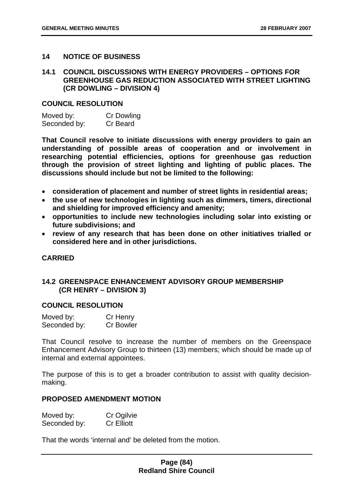### **14 NOTICE OF BUSINESS**

### **14.1 COUNCIL DISCUSSIONS WITH ENERGY PROVIDERS – OPTIONS FOR GREENHOUSE GAS REDUCTION ASSOCIATED WITH STREET LIGHTING (CR DOWLING – DIVISION 4)**

#### **COUNCIL RESOLUTION**

| Moved by:    | <b>Cr Dowling</b> |
|--------------|-------------------|
| Seconded by: | Cr Beard          |

**That Council resolve to initiate discussions with energy providers to gain an understanding of possible areas of cooperation and or involvement in researching potential efficiencies, options for greenhouse gas reduction through the provision of street lighting and lighting of public places. The discussions should include but not be limited to the following:** 

- **consideration of placement and number of street lights in residential areas;**
- **the use of new technologies in lighting such as dimmers, timers, directional and shielding for improved efficiency and amenity;**
- **opportunities to include new technologies including solar into existing or future subdivisions; and**
- **review of any research that has been done on other initiatives trialled or considered here and in other jurisdictions.**

## **CARRIED**

### **14.2 GREENSPACE ENHANCEMENT ADVISORY GROUP MEMBERSHIP (CR HENRY – DIVISION 3)**

#### **COUNCIL RESOLUTION**

| Moved by:    | Cr Henry         |
|--------------|------------------|
| Seconded by: | <b>Cr Bowler</b> |

That Council resolve to increase the number of members on the Greenspace Enhancement Advisory Group to thirteen (13) members; which should be made up of internal and external appointees.

The purpose of this is to get a broader contribution to assist with quality decisionmaking.

#### **PROPOSED AMENDMENT MOTION**

| Moved by:    | Cr Ogilvie        |
|--------------|-------------------|
| Seconded by: | <b>Cr Elliott</b> |

That the words 'internal and' be deleted from the motion.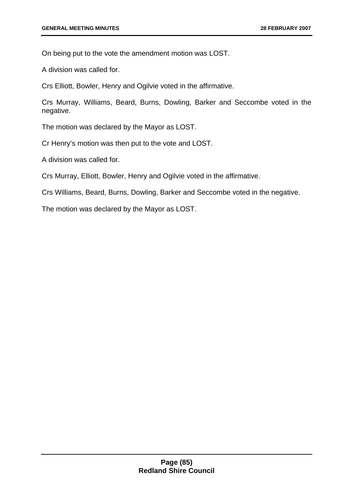On being put to the vote the amendment motion was LOST.

A division was called for.

Crs Elliott, Bowler, Henry and Ogilvie voted in the affirmative.

Crs Murray, Williams, Beard, Burns, Dowling, Barker and Seccombe voted in the negative.

The motion was declared by the Mayor as LOST.

Cr Henry's motion was then put to the vote and LOST.

A division was called for.

Crs Murray, Elliott, Bowler, Henry and Ogilvie voted in the affirmative.

Crs Williams, Beard, Burns, Dowling, Barker and Seccombe voted in the negative.

The motion was declared by the Mayor as LOST.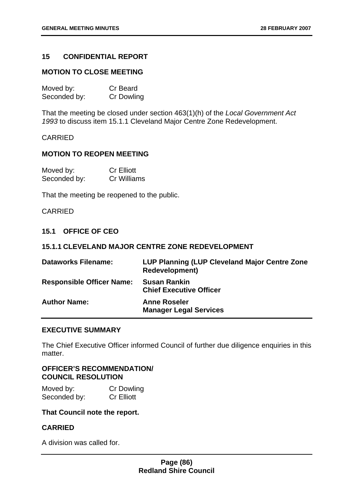# **15 CONFIDENTIAL REPORT**

### **MOTION TO CLOSE MEETING**

| Moved by:    | <b>Cr Beard</b>   |
|--------------|-------------------|
| Seconded by: | <b>Cr Dowling</b> |

That the meeting be closed under section 463(1)(h) of the *Local Government Act 1993* to discuss item 15.1.1 Cleveland Major Centre Zone Redevelopment.

#### CARRIED

# **MOTION TO REOPEN MEETING**

| Moved by:    | <b>Cr Elliott</b> |
|--------------|-------------------|
| Seconded by: | Cr Williams       |

That the meeting be reopened to the public.

# CARRIED

### **15.1 OFFICE OF CEO**

### **15.1.1 CLEVELAND MAJOR CENTRE ZONE REDEVELOPMENT**

| <b>Dataworks Filename:</b>       | LUP Planning (LUP Cleveland Major Centre Zone<br><b>Redevelopment)</b> |
|----------------------------------|------------------------------------------------------------------------|
| <b>Responsible Officer Name:</b> | <b>Susan Rankin</b><br><b>Chief Executive Officer</b>                  |
| <b>Author Name:</b>              | <b>Anne Roseler</b><br><b>Manager Legal Services</b>                   |

#### **EXECUTIVE SUMMARY**

The Chief Executive Officer informed Council of further due diligence enquiries in this matter.

## **OFFICER'S RECOMMENDATION/ COUNCIL RESOLUTION**

| Moved by:    | <b>Cr Dowling</b> |
|--------------|-------------------|
| Seconded by: | <b>Cr Elliott</b> |

### **That Council note the report.**

# **CARRIED**

A division was called for.